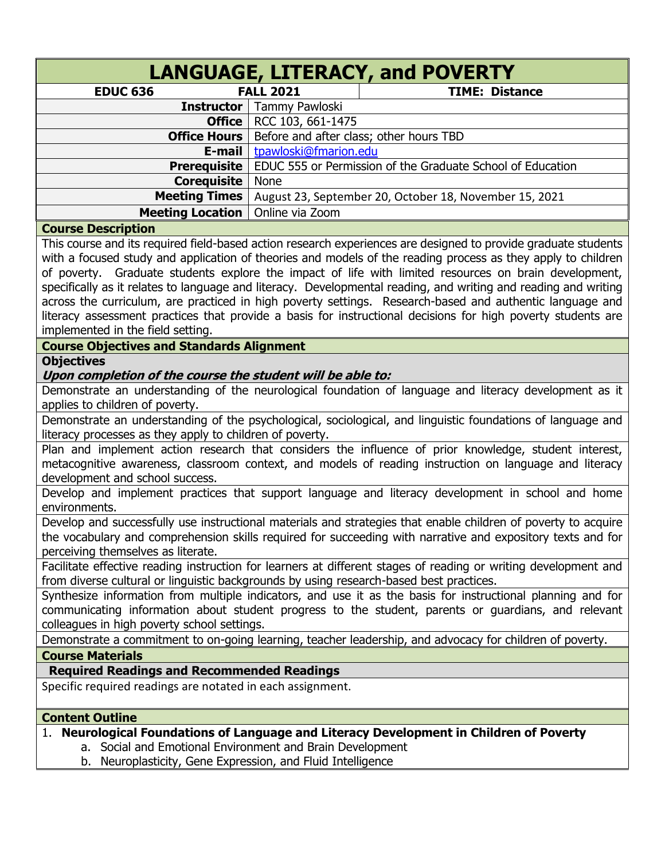|                                                                                                                          |                       | LANGUAGE, LITERACY, and POVERTY                                                                                                                                                                                                                                                                                                                                                                                                                                                                                                                                                                                                                                                        |
|--------------------------------------------------------------------------------------------------------------------------|-----------------------|----------------------------------------------------------------------------------------------------------------------------------------------------------------------------------------------------------------------------------------------------------------------------------------------------------------------------------------------------------------------------------------------------------------------------------------------------------------------------------------------------------------------------------------------------------------------------------------------------------------------------------------------------------------------------------------|
| <b>EDUC 636</b>                                                                                                          | <b>FALL 2021</b>      | <b>TIME: Distance</b>                                                                                                                                                                                                                                                                                                                                                                                                                                                                                                                                                                                                                                                                  |
| <b>Instructor</b>                                                                                                        | Tammy Pawloski        |                                                                                                                                                                                                                                                                                                                                                                                                                                                                                                                                                                                                                                                                                        |
| Office                                                                                                                   | RCC 103, 661-1475     |                                                                                                                                                                                                                                                                                                                                                                                                                                                                                                                                                                                                                                                                                        |
| <b>Office Hours</b>                                                                                                      |                       | Before and after class; other hours TBD                                                                                                                                                                                                                                                                                                                                                                                                                                                                                                                                                                                                                                                |
| E-mail                                                                                                                   | tpawloski@fmarion.edu |                                                                                                                                                                                                                                                                                                                                                                                                                                                                                                                                                                                                                                                                                        |
| <b>Prerequisite</b>                                                                                                      |                       | EDUC 555 or Permission of the Graduate School of Education                                                                                                                                                                                                                                                                                                                                                                                                                                                                                                                                                                                                                             |
| <b>Corequisite</b>                                                                                                       | <b>None</b>           |                                                                                                                                                                                                                                                                                                                                                                                                                                                                                                                                                                                                                                                                                        |
| <b>Meeting Times</b>                                                                                                     |                       | August 23, September 20, October 18, November 15, 2021                                                                                                                                                                                                                                                                                                                                                                                                                                                                                                                                                                                                                                 |
| <b>Meeting Location</b>                                                                                                  | Online via Zoom       |                                                                                                                                                                                                                                                                                                                                                                                                                                                                                                                                                                                                                                                                                        |
| <b>Course Description</b>                                                                                                |                       |                                                                                                                                                                                                                                                                                                                                                                                                                                                                                                                                                                                                                                                                                        |
| implemented in the field setting.<br><b>Course Objectives and Standards Alignment</b>                                    |                       | This course and its required field-based action research experiences are designed to provide graduate students<br>with a focused study and application of theories and models of the reading process as they apply to children<br>of poverty. Graduate students explore the impact of life with limited resources on brain development,<br>specifically as it relates to language and literacy. Developmental reading, and writing and reading and writing<br>across the curriculum, are practiced in high poverty settings. Research-based and authentic language and<br>literacy assessment practices that provide a basis for instructional decisions for high poverty students are |
| <b>Objectives</b>                                                                                                        |                       |                                                                                                                                                                                                                                                                                                                                                                                                                                                                                                                                                                                                                                                                                        |
| Upon completion of the course the student will be able to:                                                               |                       |                                                                                                                                                                                                                                                                                                                                                                                                                                                                                                                                                                                                                                                                                        |
| applies to children of poverty.                                                                                          |                       | Demonstrate an understanding of the neurological foundation of language and literacy development as it                                                                                                                                                                                                                                                                                                                                                                                                                                                                                                                                                                                 |
| literacy processes as they apply to children of poverty.                                                                 |                       | Demonstrate an understanding of the psychological, sociological, and linguistic foundations of language and                                                                                                                                                                                                                                                                                                                                                                                                                                                                                                                                                                            |
| development and school success.                                                                                          |                       | Plan and implement action research that considers the influence of prior knowledge, student interest,<br>metacognitive awareness, classroom context, and models of reading instruction on language and literacy                                                                                                                                                                                                                                                                                                                                                                                                                                                                        |
| environments.                                                                                                            |                       | Develop and implement practices that support language and literacy development in school and home                                                                                                                                                                                                                                                                                                                                                                                                                                                                                                                                                                                      |
| perceiving themselves as literate.                                                                                       |                       | Develop and successfully use instructional materials and strategies that enable children of poverty to acquire<br>the vocabulary and comprehension skills required for succeeding with narrative and expository texts and for                                                                                                                                                                                                                                                                                                                                                                                                                                                          |
| from diverse cultural or linguistic backgrounds by using research-based best practices.                                  |                       | Facilitate effective reading instruction for learners at different stages of reading or writing development and                                                                                                                                                                                                                                                                                                                                                                                                                                                                                                                                                                        |
| colleagues in high poverty school settings.                                                                              |                       | Synthesize information from multiple indicators, and use it as the basis for instructional planning and for<br>communicating information about student progress to the student, parents or guardians, and relevant                                                                                                                                                                                                                                                                                                                                                                                                                                                                     |
|                                                                                                                          |                       | Demonstrate a commitment to on-going learning, teacher leadership, and advocacy for children of poverty.                                                                                                                                                                                                                                                                                                                                                                                                                                                                                                                                                                               |
| <b>Course Materials</b>                                                                                                  |                       |                                                                                                                                                                                                                                                                                                                                                                                                                                                                                                                                                                                                                                                                                        |
| <b>Required Readings and Recommended Readings</b>                                                                        |                       |                                                                                                                                                                                                                                                                                                                                                                                                                                                                                                                                                                                                                                                                                        |
| Specific required readings are notated in each assignment.                                                               |                       |                                                                                                                                                                                                                                                                                                                                                                                                                                                                                                                                                                                                                                                                                        |
| <b>Content Outline</b>                                                                                                   |                       |                                                                                                                                                                                                                                                                                                                                                                                                                                                                                                                                                                                                                                                                                        |
| a. Social and Emotional Environment and Brain Development<br>b. Neuroplasticity, Gene Expression, and Fluid Intelligence |                       | 1. Neurological Foundations of Language and Literacy Development in Children of Poverty                                                                                                                                                                                                                                                                                                                                                                                                                                                                                                                                                                                                |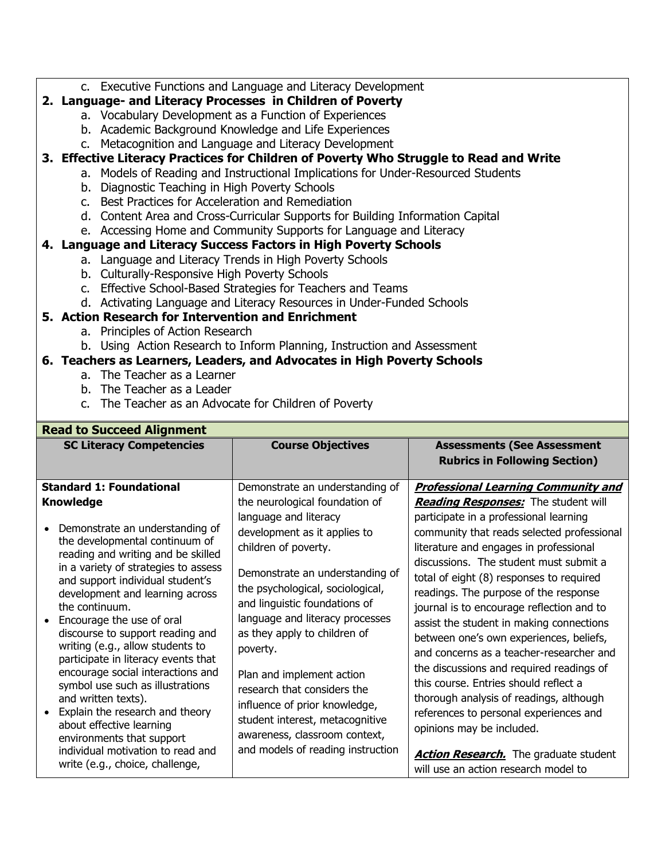c. Executive Functions and Language and Literacy Development

## **2. Language- and Literacy Processes in Children of Poverty**

- a. Vocabulary Development as a Function of Experiences
- b. Academic Background Knowledge and Life Experiences
- c. Metacognition and Language and Literacy Development

### **3. Effective Literacy Practices for Children of Poverty Who Struggle to Read and Write**

- a. Models of Reading and Instructional Implications for Under-Resourced Students
	- b. Diagnostic Teaching in High Poverty Schools
	- c. Best Practices for Acceleration and Remediation
	- d. Content Area and Cross-Curricular Supports for Building Information Capital

# e. Accessing Home and Community Supports for Language and Literacy

# **4. Language and Literacy Success Factors in High Poverty Schools**

- a. Language and Literacy Trends in High Poverty Schools
- b. Culturally-Responsive High Poverty Schools
- c. Effective School-Based Strategies for Teachers and Teams
- d. Activating Language and Literacy Resources in Under-Funded Schools

# **5. Action Research for Intervention and Enrichment**

- a. Principles of Action Research
- b. Using Action Research to Inform Planning, Instruction and Assessment

# **6. Teachers as Learners, Leaders, and Advocates in High Poverty Schools**

- a. The Teacher as a Learner
- b. The Teacher as a Leader
- c. The Teacher as an Advocate for Children of Poverty

| <b>Read to Succeed Alignment</b>                                                                                                                                                                                                                                                                                                                                                                                                                                                                                                                                               |                                                                                                                                                                                                                                                                                                                                                                                                                                        |                                                                                                                                                                                                                                                                                                                                                                                                                                                                                                                                                                                                                                                                                                                     |
|--------------------------------------------------------------------------------------------------------------------------------------------------------------------------------------------------------------------------------------------------------------------------------------------------------------------------------------------------------------------------------------------------------------------------------------------------------------------------------------------------------------------------------------------------------------------------------|----------------------------------------------------------------------------------------------------------------------------------------------------------------------------------------------------------------------------------------------------------------------------------------------------------------------------------------------------------------------------------------------------------------------------------------|---------------------------------------------------------------------------------------------------------------------------------------------------------------------------------------------------------------------------------------------------------------------------------------------------------------------------------------------------------------------------------------------------------------------------------------------------------------------------------------------------------------------------------------------------------------------------------------------------------------------------------------------------------------------------------------------------------------------|
| <b>SC Literacy Competencies</b>                                                                                                                                                                                                                                                                                                                                                                                                                                                                                                                                                | <b>Course Objectives</b>                                                                                                                                                                                                                                                                                                                                                                                                               | <b>Assessments (See Assessment</b><br><b>Rubrics in Following Section)</b>                                                                                                                                                                                                                                                                                                                                                                                                                                                                                                                                                                                                                                          |
| <b>Standard 1: Foundational</b><br><b>Knowledge</b><br>Demonstrate an understanding of<br>the developmental continuum of<br>reading and writing and be skilled<br>in a variety of strategies to assess<br>and support individual student's<br>development and learning across<br>the continuum.<br>Encourage the use of oral<br>discourse to support reading and<br>writing (e.g., allow students to<br>participate in literacy events that<br>encourage social interactions and<br>symbol use such as illustrations<br>and written texts).<br>Explain the research and theory | Demonstrate an understanding of<br>the neurological foundation of<br>language and literacy<br>development as it applies to<br>children of poverty.<br>Demonstrate an understanding of<br>the psychological, sociological,<br>and linguistic foundations of<br>language and literacy processes<br>as they apply to children of<br>poverty.<br>Plan and implement action<br>research that considers the<br>influence of prior knowledge, | <b>Professional Learning Community and</b><br><b>Reading Responses:</b> The student will<br>participate in a professional learning<br>community that reads selected professional<br>literature and engages in professional<br>discussions. The student must submit a<br>total of eight (8) responses to required<br>readings. The purpose of the response<br>journal is to encourage reflection and to<br>assist the student in making connections<br>between one's own experiences, beliefs,<br>and concerns as a teacher-researcher and<br>the discussions and required readings of<br>this course. Entries should reflect a<br>thorough analysis of readings, although<br>references to personal experiences and |
| about effective learning<br>environments that support<br>individual motivation to read and<br>write (e.g., choice, challenge,                                                                                                                                                                                                                                                                                                                                                                                                                                                  | student interest, metacognitive<br>awareness, classroom context,<br>and models of reading instruction                                                                                                                                                                                                                                                                                                                                  | opinions may be included.<br><b>Action Research.</b> The graduate student<br>will use an action research model to                                                                                                                                                                                                                                                                                                                                                                                                                                                                                                                                                                                                   |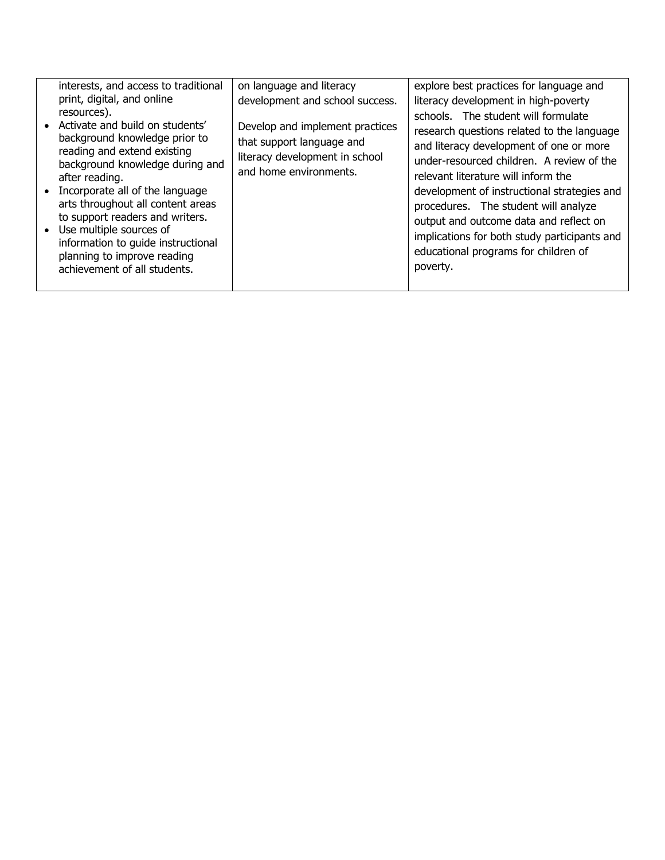| interests, and access to traditional<br>print, digital, and online<br>resources).<br>• Activate and build on students'<br>background knowledge prior to<br>reading and extend existing<br>background knowledge during and<br>after reading.<br>• Incorporate all of the language<br>arts throughout all content areas<br>to support readers and writers.<br>• Use multiple sources of<br>information to guide instructional<br>planning to improve reading | on language and literacy<br>development and school success.<br>Develop and implement practices<br>that support language and<br>literacy development in school<br>and home environments. | explore best practices for language and<br>literacy development in high-poverty<br>schools. The student will formulate<br>research questions related to the language<br>and literacy development of one or more<br>under-resourced children. A review of the<br>relevant literature will inform the<br>development of instructional strategies and<br>procedures. The student will analyze<br>output and outcome data and reflect on<br>implications for both study participants and<br>educational programs for children of |
|------------------------------------------------------------------------------------------------------------------------------------------------------------------------------------------------------------------------------------------------------------------------------------------------------------------------------------------------------------------------------------------------------------------------------------------------------------|-----------------------------------------------------------------------------------------------------------------------------------------------------------------------------------------|------------------------------------------------------------------------------------------------------------------------------------------------------------------------------------------------------------------------------------------------------------------------------------------------------------------------------------------------------------------------------------------------------------------------------------------------------------------------------------------------------------------------------|
| achievement of all students.                                                                                                                                                                                                                                                                                                                                                                                                                               |                                                                                                                                                                                         | poverty.                                                                                                                                                                                                                                                                                                                                                                                                                                                                                                                     |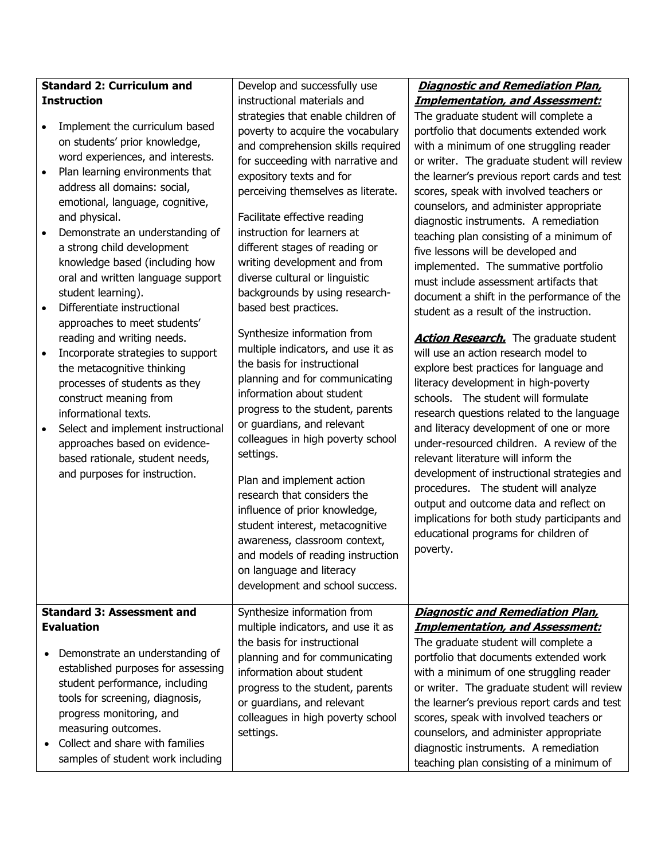| <b>Standard 2: Curriculum and</b> |                                                                                                                                                                                                                                                                                                                                                                                                                                                                                                                                                                                                                                                                                                                                                                                        | Develop and successfully use                                                                                                                                                                                                                                                                                                                                                                                                                                                                                                                                                                                                                                                                                                                                                                                                                                                                                                                                                                                  | <b>Diagnostic and Remediation Plan,</b>                                                                                                                                                                                                                                                                                                                                                                                                                                                                                                                                                                                                                                                                                                                                                                                                                                                                                                                                                                                                                                                                                                                                                                                                                 |
|-----------------------------------|----------------------------------------------------------------------------------------------------------------------------------------------------------------------------------------------------------------------------------------------------------------------------------------------------------------------------------------------------------------------------------------------------------------------------------------------------------------------------------------------------------------------------------------------------------------------------------------------------------------------------------------------------------------------------------------------------------------------------------------------------------------------------------------|---------------------------------------------------------------------------------------------------------------------------------------------------------------------------------------------------------------------------------------------------------------------------------------------------------------------------------------------------------------------------------------------------------------------------------------------------------------------------------------------------------------------------------------------------------------------------------------------------------------------------------------------------------------------------------------------------------------------------------------------------------------------------------------------------------------------------------------------------------------------------------------------------------------------------------------------------------------------------------------------------------------|---------------------------------------------------------------------------------------------------------------------------------------------------------------------------------------------------------------------------------------------------------------------------------------------------------------------------------------------------------------------------------------------------------------------------------------------------------------------------------------------------------------------------------------------------------------------------------------------------------------------------------------------------------------------------------------------------------------------------------------------------------------------------------------------------------------------------------------------------------------------------------------------------------------------------------------------------------------------------------------------------------------------------------------------------------------------------------------------------------------------------------------------------------------------------------------------------------------------------------------------------------|
| <b>Instruction</b>                |                                                                                                                                                                                                                                                                                                                                                                                                                                                                                                                                                                                                                                                                                                                                                                                        | instructional materials and                                                                                                                                                                                                                                                                                                                                                                                                                                                                                                                                                                                                                                                                                                                                                                                                                                                                                                                                                                                   | <b>Implementation, and Assessment:</b>                                                                                                                                                                                                                                                                                                                                                                                                                                                                                                                                                                                                                                                                                                                                                                                                                                                                                                                                                                                                                                                                                                                                                                                                                  |
| $\bullet$<br>$\bullet$            | Implement the curriculum based<br>on students' prior knowledge,<br>word experiences, and interests.<br>Plan learning environments that<br>address all domains: social,<br>emotional, language, cognitive,<br>and physical.<br>Demonstrate an understanding of<br>a strong child development<br>knowledge based (including how<br>oral and written language support<br>student learning).<br>Differentiate instructional<br>approaches to meet students'<br>reading and writing needs.<br>Incorporate strategies to support<br>the metacognitive thinking<br>processes of students as they<br>construct meaning from<br>informational texts.<br>Select and implement instructional<br>approaches based on evidence-<br>based rationale, student needs,<br>and purposes for instruction. | strategies that enable children of<br>poverty to acquire the vocabulary<br>and comprehension skills required<br>for succeeding with narrative and<br>expository texts and for<br>perceiving themselves as literate.<br>Facilitate effective reading<br>instruction for learners at<br>different stages of reading or<br>writing development and from<br>diverse cultural or linguistic<br>backgrounds by using research-<br>based best practices.<br>Synthesize information from<br>multiple indicators, and use it as<br>the basis for instructional<br>planning and for communicating<br>information about student<br>progress to the student, parents<br>or guardians, and relevant<br>colleagues in high poverty school<br>settings.<br>Plan and implement action<br>research that considers the<br>influence of prior knowledge,<br>student interest, metacognitive<br>awareness, classroom context,<br>and models of reading instruction<br>on language and literacy<br>development and school success. | The graduate student will complete a<br>portfolio that documents extended work<br>with a minimum of one struggling reader<br>or writer. The graduate student will review<br>the learner's previous report cards and test<br>scores, speak with involved teachers or<br>counselors, and administer appropriate<br>diagnostic instruments. A remediation<br>teaching plan consisting of a minimum of<br>five lessons will be developed and<br>implemented. The summative portfolio<br>must include assessment artifacts that<br>document a shift in the performance of the<br>student as a result of the instruction.<br><b>Action Research.</b> The graduate student<br>will use an action research model to<br>explore best practices for language and<br>literacy development in high-poverty<br>schools. The student will formulate<br>research questions related to the language<br>and literacy development of one or more<br>under-resourced children. A review of the<br>relevant literature will inform the<br>development of instructional strategies and<br>procedures. The student will analyze<br>output and outcome data and reflect on<br>implications for both study participants and<br>educational programs for children of<br>poverty. |
|                                   | <b>Standard 3: Assessment and</b>                                                                                                                                                                                                                                                                                                                                                                                                                                                                                                                                                                                                                                                                                                                                                      | Synthesize information from                                                                                                                                                                                                                                                                                                                                                                                                                                                                                                                                                                                                                                                                                                                                                                                                                                                                                                                                                                                   | <b>Diagnostic and Remediation Plan,</b>                                                                                                                                                                                                                                                                                                                                                                                                                                                                                                                                                                                                                                                                                                                                                                                                                                                                                                                                                                                                                                                                                                                                                                                                                 |
|                                   | <b>Evaluation</b>                                                                                                                                                                                                                                                                                                                                                                                                                                                                                                                                                                                                                                                                                                                                                                      | multiple indicators, and use it as                                                                                                                                                                                                                                                                                                                                                                                                                                                                                                                                                                                                                                                                                                                                                                                                                                                                                                                                                                            | <b>Implementation, and Assessment:</b>                                                                                                                                                                                                                                                                                                                                                                                                                                                                                                                                                                                                                                                                                                                                                                                                                                                                                                                                                                                                                                                                                                                                                                                                                  |
|                                   |                                                                                                                                                                                                                                                                                                                                                                                                                                                                                                                                                                                                                                                                                                                                                                                        | the basis for instructional                                                                                                                                                                                                                                                                                                                                                                                                                                                                                                                                                                                                                                                                                                                                                                                                                                                                                                                                                                                   | The graduate student will complete a                                                                                                                                                                                                                                                                                                                                                                                                                                                                                                                                                                                                                                                                                                                                                                                                                                                                                                                                                                                                                                                                                                                                                                                                                    |
|                                   | Demonstrate an understanding of<br>established purposes for assessing                                                                                                                                                                                                                                                                                                                                                                                                                                                                                                                                                                                                                                                                                                                  | planning and for communicating                                                                                                                                                                                                                                                                                                                                                                                                                                                                                                                                                                                                                                                                                                                                                                                                                                                                                                                                                                                | portfolio that documents extended work                                                                                                                                                                                                                                                                                                                                                                                                                                                                                                                                                                                                                                                                                                                                                                                                                                                                                                                                                                                                                                                                                                                                                                                                                  |
|                                   | student performance, including                                                                                                                                                                                                                                                                                                                                                                                                                                                                                                                                                                                                                                                                                                                                                         | information about student<br>progress to the student, parents                                                                                                                                                                                                                                                                                                                                                                                                                                                                                                                                                                                                                                                                                                                                                                                                                                                                                                                                                 | with a minimum of one struggling reader<br>or writer. The graduate student will review                                                                                                                                                                                                                                                                                                                                                                                                                                                                                                                                                                                                                                                                                                                                                                                                                                                                                                                                                                                                                                                                                                                                                                  |
|                                   | tools for screening, diagnosis,                                                                                                                                                                                                                                                                                                                                                                                                                                                                                                                                                                                                                                                                                                                                                        | or guardians, and relevant                                                                                                                                                                                                                                                                                                                                                                                                                                                                                                                                                                                                                                                                                                                                                                                                                                                                                                                                                                                    | the learner's previous report cards and test                                                                                                                                                                                                                                                                                                                                                                                                                                                                                                                                                                                                                                                                                                                                                                                                                                                                                                                                                                                                                                                                                                                                                                                                            |
|                                   | progress monitoring, and                                                                                                                                                                                                                                                                                                                                                                                                                                                                                                                                                                                                                                                                                                                                                               | colleagues in high poverty school                                                                                                                                                                                                                                                                                                                                                                                                                                                                                                                                                                                                                                                                                                                                                                                                                                                                                                                                                                             | scores, speak with involved teachers or                                                                                                                                                                                                                                                                                                                                                                                                                                                                                                                                                                                                                                                                                                                                                                                                                                                                                                                                                                                                                                                                                                                                                                                                                 |
|                                   | measuring outcomes.                                                                                                                                                                                                                                                                                                                                                                                                                                                                                                                                                                                                                                                                                                                                                                    | settings.                                                                                                                                                                                                                                                                                                                                                                                                                                                                                                                                                                                                                                                                                                                                                                                                                                                                                                                                                                                                     | counselors, and administer appropriate                                                                                                                                                                                                                                                                                                                                                                                                                                                                                                                                                                                                                                                                                                                                                                                                                                                                                                                                                                                                                                                                                                                                                                                                                  |
|                                   | Collect and share with families                                                                                                                                                                                                                                                                                                                                                                                                                                                                                                                                                                                                                                                                                                                                                        |                                                                                                                                                                                                                                                                                                                                                                                                                                                                                                                                                                                                                                                                                                                                                                                                                                                                                                                                                                                                               | diagnostic instruments. A remediation                                                                                                                                                                                                                                                                                                                                                                                                                                                                                                                                                                                                                                                                                                                                                                                                                                                                                                                                                                                                                                                                                                                                                                                                                   |
|                                   | samples of student work including                                                                                                                                                                                                                                                                                                                                                                                                                                                                                                                                                                                                                                                                                                                                                      |                                                                                                                                                                                                                                                                                                                                                                                                                                                                                                                                                                                                                                                                                                                                                                                                                                                                                                                                                                                                               | teaching plan consisting of a minimum of                                                                                                                                                                                                                                                                                                                                                                                                                                                                                                                                                                                                                                                                                                                                                                                                                                                                                                                                                                                                                                                                                                                                                                                                                |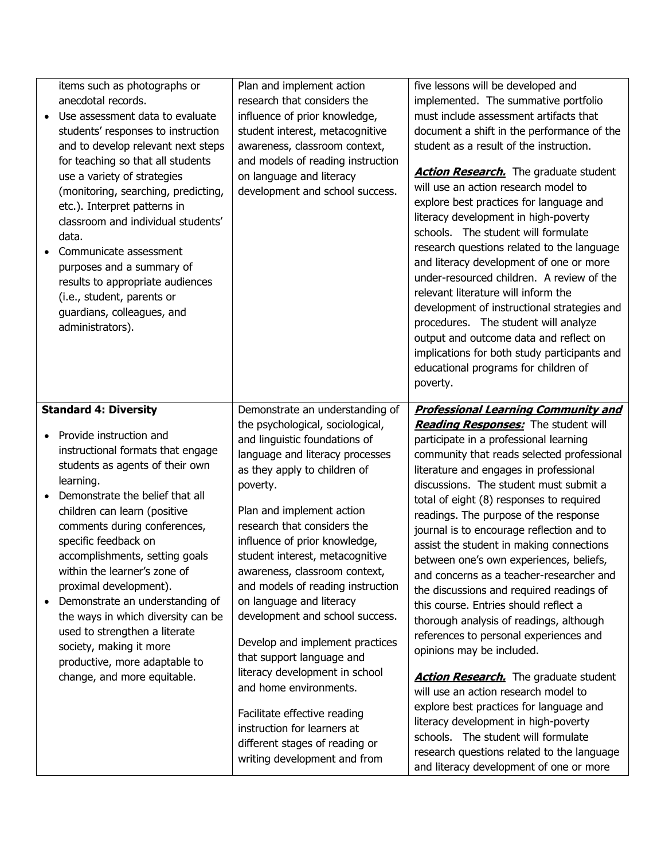| items such as photographs or<br>anecdotal records.<br>Use assessment data to evaluate<br>students' responses to instruction<br>and to develop relevant next steps<br>for teaching so that all students<br>use a variety of strategies<br>(monitoring, searching, predicting,<br>etc.). Interpret patterns in<br>classroom and individual students'<br>data.<br>Communicate assessment<br>purposes and a summary of<br>results to appropriate audiences<br>(i.e., student, parents or<br>guardians, colleagues, and<br>administrators).                                   | Plan and implement action<br>research that considers the<br>influence of prior knowledge,<br>student interest, metacognitive<br>awareness, classroom context,<br>and models of reading instruction<br>on language and literacy<br>development and school success.                                                                                                                                                                                                                                                                                                                                                                                                                                                     | five lessons will be developed and<br>implemented. The summative portfolio<br>must include assessment artifacts that<br>document a shift in the performance of the<br>student as a result of the instruction.<br><b>Action Research.</b> The graduate student<br>will use an action research model to<br>explore best practices for language and<br>literacy development in high-poverty<br>schools. The student will formulate<br>research questions related to the language<br>and literacy development of one or more<br>under-resourced children. A review of the<br>relevant literature will inform the<br>development of instructional strategies and<br>procedures. The student will analyze<br>output and outcome data and reflect on<br>implications for both study participants and<br>educational programs for children of<br>poverty.                                                                                                                                                                                                           |
|--------------------------------------------------------------------------------------------------------------------------------------------------------------------------------------------------------------------------------------------------------------------------------------------------------------------------------------------------------------------------------------------------------------------------------------------------------------------------------------------------------------------------------------------------------------------------|-----------------------------------------------------------------------------------------------------------------------------------------------------------------------------------------------------------------------------------------------------------------------------------------------------------------------------------------------------------------------------------------------------------------------------------------------------------------------------------------------------------------------------------------------------------------------------------------------------------------------------------------------------------------------------------------------------------------------|-------------------------------------------------------------------------------------------------------------------------------------------------------------------------------------------------------------------------------------------------------------------------------------------------------------------------------------------------------------------------------------------------------------------------------------------------------------------------------------------------------------------------------------------------------------------------------------------------------------------------------------------------------------------------------------------------------------------------------------------------------------------------------------------------------------------------------------------------------------------------------------------------------------------------------------------------------------------------------------------------------------------------------------------------------------|
| <b>Standard 4: Diversity</b><br>Provide instruction and<br>instructional formats that engage<br>students as agents of their own<br>learning.<br>Demonstrate the belief that all<br>children can learn (positive<br>comments during conferences,<br>specific feedback on<br>accomplishments, setting goals<br>within the learner's zone of<br>proximal development).<br>Demonstrate an understanding of<br>the ways in which diversity can be<br>used to strengthen a literate<br>society, making it more<br>productive, more adaptable to<br>change, and more equitable. | Demonstrate an understanding of<br>the psychological, sociological,<br>and linguistic foundations of<br>language and literacy processes<br>as they apply to children of<br>poverty.<br>Plan and implement action<br>research that considers the<br>influence of prior knowledge,<br>student interest, metacognitive<br>awareness, classroom context,<br>and models of reading instruction<br>on language and literacy<br>development and school success.<br>Develop and implement practices<br>that support language and<br>literacy development in school<br>and home environments.<br>Facilitate effective reading<br>instruction for learners at<br>different stages of reading or<br>writing development and from | <b>Professional Learning Community and</b><br><b>Reading Responses:</b> The student will<br>participate in a professional learning<br>community that reads selected professional<br>literature and engages in professional<br>discussions. The student must submit a<br>total of eight (8) responses to required<br>readings. The purpose of the response<br>journal is to encourage reflection and to<br>assist the student in making connections<br>between one's own experiences, beliefs,<br>and concerns as a teacher-researcher and<br>the discussions and required readings of<br>this course. Entries should reflect a<br>thorough analysis of readings, although<br>references to personal experiences and<br>opinions may be included.<br><b>Action Research.</b> The graduate student<br>will use an action research model to<br>explore best practices for language and<br>literacy development in high-poverty<br>schools. The student will formulate<br>research questions related to the language<br>and literacy development of one or more |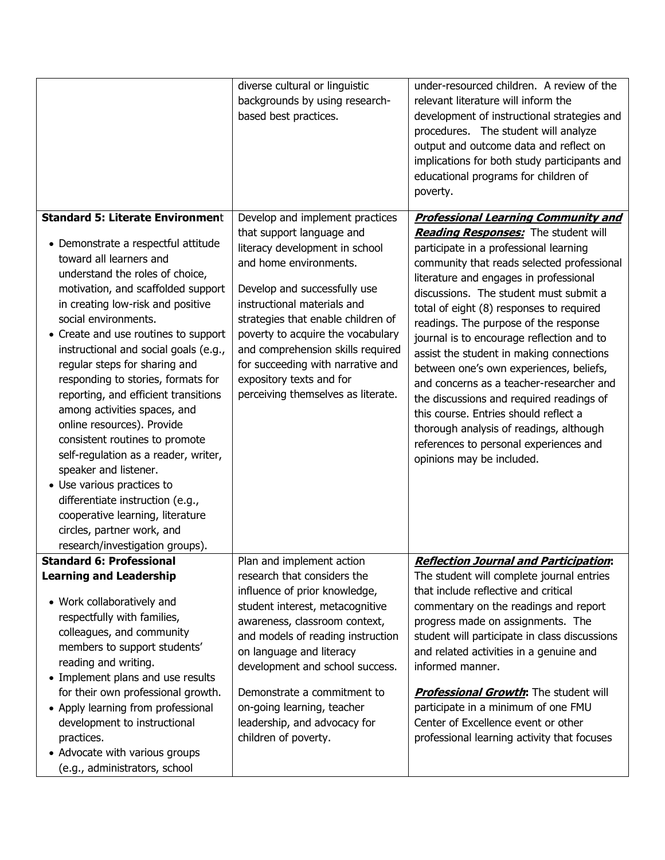|                                                                                                                                                                                                                                                                                                                                                                                                                                                                                                                                                                                                                                                                                                                                                                                         | diverse cultural or linguistic<br>backgrounds by using research-<br>based best practices.                                                                                                                                                                                                                                                                                                                      | under-resourced children. A review of the<br>relevant literature will inform the<br>development of instructional strategies and<br>procedures. The student will analyze<br>output and outcome data and reflect on<br>implications for both study participants and<br>educational programs for children of<br>poverty.                                                                                                                                                                                                                                                                                                                                                                                                                     |
|-----------------------------------------------------------------------------------------------------------------------------------------------------------------------------------------------------------------------------------------------------------------------------------------------------------------------------------------------------------------------------------------------------------------------------------------------------------------------------------------------------------------------------------------------------------------------------------------------------------------------------------------------------------------------------------------------------------------------------------------------------------------------------------------|----------------------------------------------------------------------------------------------------------------------------------------------------------------------------------------------------------------------------------------------------------------------------------------------------------------------------------------------------------------------------------------------------------------|-------------------------------------------------------------------------------------------------------------------------------------------------------------------------------------------------------------------------------------------------------------------------------------------------------------------------------------------------------------------------------------------------------------------------------------------------------------------------------------------------------------------------------------------------------------------------------------------------------------------------------------------------------------------------------------------------------------------------------------------|
| <b>Standard 5: Literate Environment</b><br>• Demonstrate a respectful attitude<br>toward all learners and<br>understand the roles of choice,<br>motivation, and scaffolded support<br>in creating low-risk and positive<br>social environments.<br>• Create and use routines to support<br>instructional and social goals (e.g.,<br>regular steps for sharing and<br>responding to stories, formats for<br>reporting, and efficient transitions<br>among activities spaces, and<br>online resources). Provide<br>consistent routines to promote<br>self-regulation as a reader, writer,<br>speaker and listener.<br>• Use various practices to<br>differentiate instruction (e.g.,<br>cooperative learning, literature<br>circles, partner work, and<br>research/investigation groups). | Develop and implement practices<br>that support language and<br>literacy development in school<br>and home environments.<br>Develop and successfully use<br>instructional materials and<br>strategies that enable children of<br>poverty to acquire the vocabulary<br>and comprehension skills required<br>for succeeding with narrative and<br>expository texts and for<br>perceiving themselves as literate. | <b>Professional Learning Community and</b><br>Reading Responses: The student will<br>participate in a professional learning<br>community that reads selected professional<br>literature and engages in professional<br>discussions. The student must submit a<br>total of eight (8) responses to required<br>readings. The purpose of the response<br>journal is to encourage reflection and to<br>assist the student in making connections<br>between one's own experiences, beliefs,<br>and concerns as a teacher-researcher and<br>the discussions and required readings of<br>this course. Entries should reflect a<br>thorough analysis of readings, although<br>references to personal experiences and<br>opinions may be included. |
| <b>Standard 6: Professional</b><br><b>Learning and Leadership</b><br>• Work collaboratively and<br>respectfully with families,<br>colleagues, and community<br>members to support students'<br>reading and writing.<br>• Implement plans and use results<br>for their own professional growth.<br>• Apply learning from professional<br>development to instructional<br>practices.<br>• Advocate with various groups<br>(e.g., administrators, school                                                                                                                                                                                                                                                                                                                                   | Plan and implement action<br>research that considers the<br>influence of prior knowledge,<br>student interest, metacognitive<br>awareness, classroom context,<br>and models of reading instruction<br>on language and literacy<br>development and school success.<br>Demonstrate a commitment to<br>on-going learning, teacher<br>leadership, and advocacy for<br>children of poverty.                         | <b>Reflection Journal and Participation:</b><br>The student will complete journal entries<br>that include reflective and critical<br>commentary on the readings and report<br>progress made on assignments. The<br>student will participate in class discussions<br>and related activities in a genuine and<br>informed manner.<br><b>Professional Growth:</b> The student will<br>participate in a minimum of one FMU<br>Center of Excellence event or other<br>professional learning activity that focuses                                                                                                                                                                                                                              |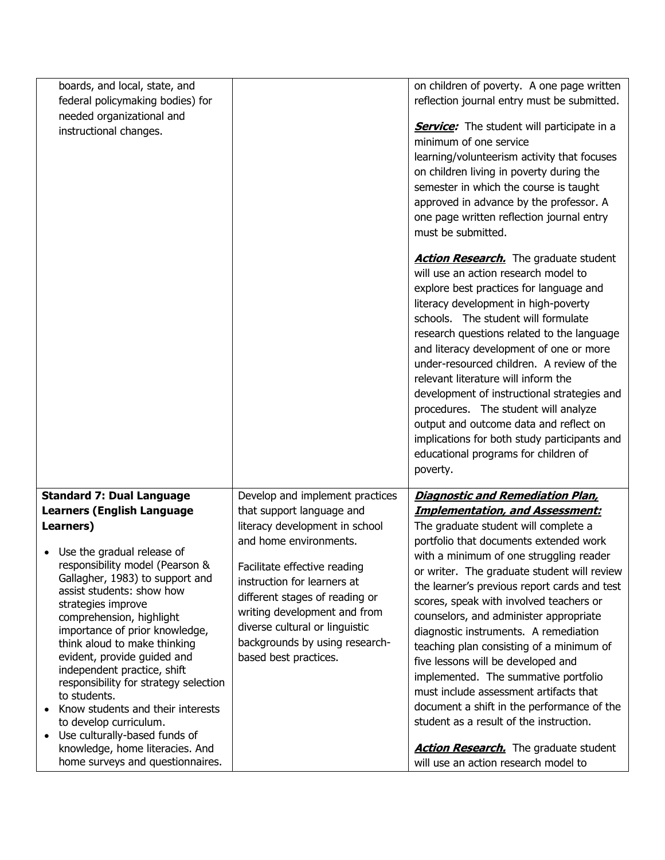| boards, and local, state, and                                |                                 | on children of poverty. A one page written        |
|--------------------------------------------------------------|---------------------------------|---------------------------------------------------|
| federal policymaking bodies) for                             |                                 | reflection journal entry must be submitted.       |
| needed organizational and                                    |                                 | <b>Service:</b> The student will participate in a |
| instructional changes.                                       |                                 | minimum of one service                            |
|                                                              |                                 | learning/volunteerism activity that focuses       |
|                                                              |                                 | on children living in poverty during the          |
|                                                              |                                 | semester in which the course is taught            |
|                                                              |                                 | approved in advance by the professor. A           |
|                                                              |                                 | one page written reflection journal entry         |
|                                                              |                                 | must be submitted.                                |
|                                                              |                                 |                                                   |
|                                                              |                                 | <b>Action Research.</b> The graduate student      |
|                                                              |                                 | will use an action research model to              |
|                                                              |                                 | explore best practices for language and           |
|                                                              |                                 | literacy development in high-poverty              |
|                                                              |                                 | schools. The student will formulate               |
|                                                              |                                 | research questions related to the language        |
|                                                              |                                 | and literacy development of one or more           |
|                                                              |                                 | under-resourced children. A review of the         |
|                                                              |                                 | relevant literature will inform the               |
|                                                              |                                 | development of instructional strategies and       |
|                                                              |                                 | procedures. The student will analyze              |
|                                                              |                                 | output and outcome data and reflect on            |
|                                                              |                                 | implications for both study participants and      |
|                                                              |                                 | educational programs for children of              |
|                                                              |                                 | poverty.                                          |
| <b>Standard 7: Dual Language</b>                             | Develop and implement practices | <b>Diagnostic and Remediation Plan,</b>           |
| <b>Learners (English Language</b>                            | that support language and       | <b>Implementation, and Assessment:</b>            |
| Learners)                                                    | literacy development in school  | The graduate student will complete a              |
|                                                              | and home environments.          | portfolio that documents extended work            |
| • Use the gradual release of                                 |                                 | with a minimum of one struggling reader           |
| responsibility model (Pearson &                              | Facilitate effective reading    | or writer. The graduate student will review       |
| Gallagher, 1983) to support and<br>assist students: show how | instruction for learners at     | the learner's previous report cards and test      |
| strategies improve                                           | different stages of reading or  | scores, speak with involved teachers or           |
| comprehension, highlight                                     | writing development and from    | counselors, and administer appropriate            |
| importance of prior knowledge,                               | diverse cultural or linguistic  | diagnostic instruments. A remediation             |
| think aloud to make thinking                                 | backgrounds by using research-  | teaching plan consisting of a minimum of          |
| evident, provide guided and                                  | based best practices.           | five lessons will be developed and                |
| independent practice, shift                                  |                                 | implemented. The summative portfolio              |
| responsibility for strategy selection                        |                                 | must include assessment artifacts that            |
| to students.<br>Know students and their interests            |                                 | document a shift in the performance of the        |
| to develop curriculum.                                       |                                 | student as a result of the instruction.           |
| Use culturally-based funds of<br>$\bullet$                   |                                 |                                                   |
| knowledge, home literacies. And                              |                                 | <b>Action Research.</b> The graduate student      |
| home surveys and questionnaires.                             |                                 | will use an action research model to              |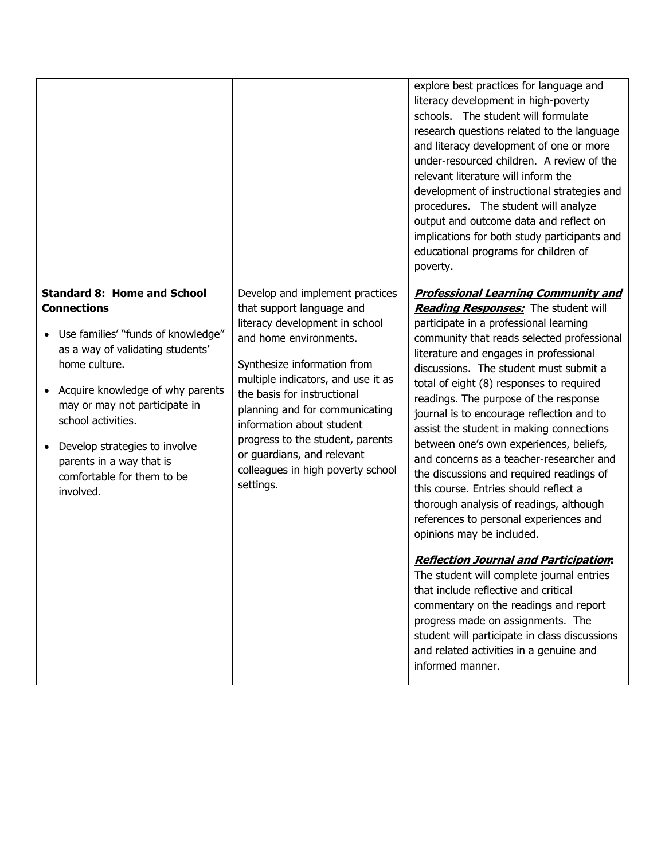|                                                                                                                                                                                                                                                                                                                                                        |                                                                                                                                                                                                                                                                                                                                                                                                                 | explore best practices for language and<br>literacy development in high-poverty<br>schools. The student will formulate<br>research questions related to the language<br>and literacy development of one or more<br>under-resourced children. A review of the<br>relevant literature will inform the<br>development of instructional strategies and<br>procedures. The student will analyze<br>output and outcome data and reflect on<br>implications for both study participants and<br>educational programs for children of<br>poverty.                                                                                                                                                                                                                                                                                                                                                                                                                                                                                                                                     |
|--------------------------------------------------------------------------------------------------------------------------------------------------------------------------------------------------------------------------------------------------------------------------------------------------------------------------------------------------------|-----------------------------------------------------------------------------------------------------------------------------------------------------------------------------------------------------------------------------------------------------------------------------------------------------------------------------------------------------------------------------------------------------------------|------------------------------------------------------------------------------------------------------------------------------------------------------------------------------------------------------------------------------------------------------------------------------------------------------------------------------------------------------------------------------------------------------------------------------------------------------------------------------------------------------------------------------------------------------------------------------------------------------------------------------------------------------------------------------------------------------------------------------------------------------------------------------------------------------------------------------------------------------------------------------------------------------------------------------------------------------------------------------------------------------------------------------------------------------------------------------|
| <b>Standard 8: Home and School</b><br><b>Connections</b><br>Use families' "funds of knowledge"<br>as a way of validating students'<br>home culture.<br>Acquire knowledge of why parents<br>may or may not participate in<br>school activities.<br>Develop strategies to involve<br>parents in a way that is<br>comfortable for them to be<br>involved. | Develop and implement practices<br>that support language and<br>literacy development in school<br>and home environments.<br>Synthesize information from<br>multiple indicators, and use it as<br>the basis for instructional<br>planning and for communicating<br>information about student<br>progress to the student, parents<br>or guardians, and relevant<br>colleagues in high poverty school<br>settings. | <b>Professional Learning Community and</b><br>Reading Responses: The student will<br>participate in a professional learning<br>community that reads selected professional<br>literature and engages in professional<br>discussions. The student must submit a<br>total of eight (8) responses to required<br>readings. The purpose of the response<br>journal is to encourage reflection and to<br>assist the student in making connections<br>between one's own experiences, beliefs,<br>and concerns as a teacher-researcher and<br>the discussions and required readings of<br>this course. Entries should reflect a<br>thorough analysis of readings, although<br>references to personal experiences and<br>opinions may be included.<br><b>Reflection Journal and Participation:</b><br>The student will complete journal entries<br>that include reflective and critical<br>commentary on the readings and report<br>progress made on assignments. The<br>student will participate in class discussions<br>and related activities in a genuine and<br>informed manner. |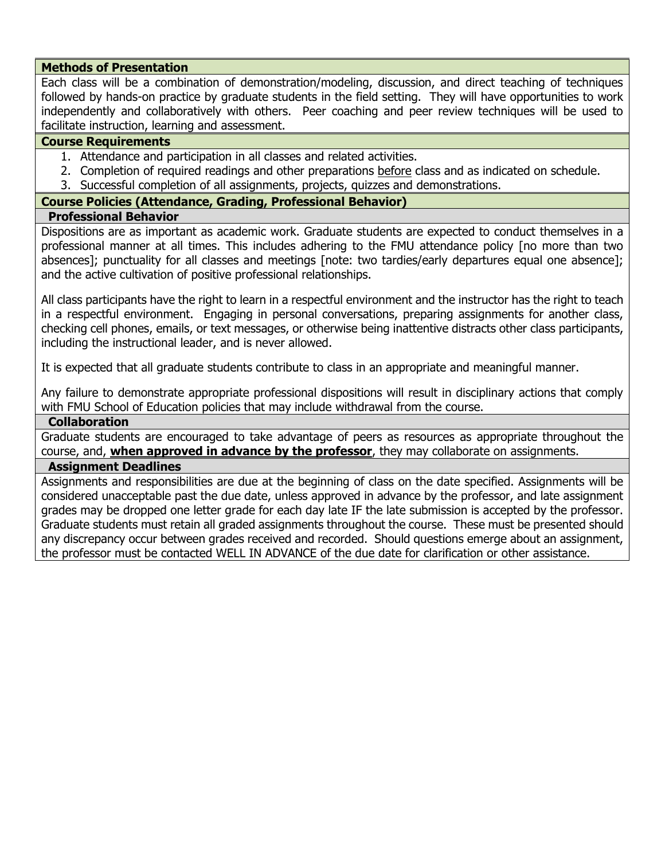#### **Methods of Presentation**

Each class will be a combination of demonstration/modeling, discussion, and direct teaching of techniques followed by hands-on practice by graduate students in the field setting. They will have opportunities to work independently and collaboratively with others. Peer coaching and peer review techniques will be used to facilitate instruction, learning and assessment.

#### **Course Requirements**

- 1. Attendance and participation in all classes and related activities.
- 2. Completion of required readings and other preparations before class and as indicated on schedule.
- 3. Successful completion of all assignments, projects, quizzes and demonstrations.

### **Course Policies (Attendance, Grading, Professional Behavior)**

#### **Professional Behavior**

Dispositions are as important as academic work. Graduate students are expected to conduct themselves in a professional manner at all times. This includes adhering to the FMU attendance policy [no more than two absences]; punctuality for all classes and meetings [note: two tardies/early departures equal one absence]; and the active cultivation of positive professional relationships.

All class participants have the right to learn in a respectful environment and the instructor has the right to teach in a respectful environment. Engaging in personal conversations, preparing assignments for another class, checking cell phones, emails, or text messages, or otherwise being inattentive distracts other class participants, including the instructional leader, and is never allowed.

It is expected that all graduate students contribute to class in an appropriate and meaningful manner.

Any failure to demonstrate appropriate professional dispositions will result in disciplinary actions that comply with FMU School of Education policies that may include withdrawal from the course.

#### **Collaboration**

Graduate students are encouraged to take advantage of peers as resources as appropriate throughout the course, and, **when approved in advance by the professor**, they may collaborate on assignments.

### **Assignment Deadlines**

Assignments and responsibilities are due at the beginning of class on the date specified. Assignments will be considered unacceptable past the due date, unless approved in advance by the professor, and late assignment grades may be dropped one letter grade for each day late IF the late submission is accepted by the professor. Graduate students must retain all graded assignments throughout the course. These must be presented should any discrepancy occur between grades received and recorded. Should questions emerge about an assignment, the professor must be contacted WELL IN ADVANCE of the due date for clarification or other assistance.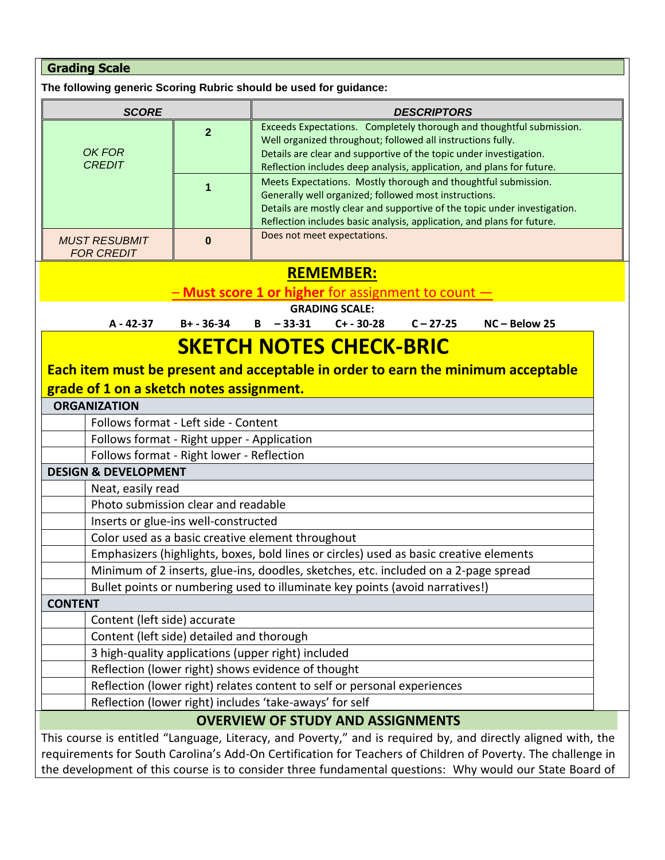| <b>Grading Scale</b>                                                                                                                                                                                                                                                                                                                                                                                                          |                     |                                                                      |                             |                                                                                                                      |                                                                                                                                                                                                                                                                                       |
|-------------------------------------------------------------------------------------------------------------------------------------------------------------------------------------------------------------------------------------------------------------------------------------------------------------------------------------------------------------------------------------------------------------------------------|---------------------|----------------------------------------------------------------------|-----------------------------|----------------------------------------------------------------------------------------------------------------------|---------------------------------------------------------------------------------------------------------------------------------------------------------------------------------------------------------------------------------------------------------------------------------------|
| The following generic Scoring Rubric should be used for guidance:                                                                                                                                                                                                                                                                                                                                                             |                     |                                                                      |                             |                                                                                                                      |                                                                                                                                                                                                                                                                                       |
| <b>SCORE</b>                                                                                                                                                                                                                                                                                                                                                                                                                  |                     |                                                                      |                             | <b>DESCRIPTORS</b>                                                                                                   |                                                                                                                                                                                                                                                                                       |
| OK FOR<br><b>CREDIT</b>                                                                                                                                                                                                                                                                                                                                                                                                       | $\overline{2}$<br>1 |                                                                      |                             | Well organized throughout; followed all instructions fully.<br>Generally well organized; followed most instructions. | Exceeds Expectations. Completely thorough and thoughtful submission.<br>Details are clear and supportive of the topic under investigation.<br>Reflection includes deep analysis, application, and plans for future.<br>Meets Expectations. Mostly thorough and thoughtful submission. |
|                                                                                                                                                                                                                                                                                                                                                                                                                               |                     |                                                                      |                             |                                                                                                                      | Details are mostly clear and supportive of the topic under investigation.                                                                                                                                                                                                             |
| <b>MUST RESUBMIT</b><br><b>FOR CREDIT</b>                                                                                                                                                                                                                                                                                                                                                                                     | $\bf{0}$            |                                                                      | Does not meet expectations. |                                                                                                                      | Reflection includes basic analysis, application, and plans for future.                                                                                                                                                                                                                |
|                                                                                                                                                                                                                                                                                                                                                                                                                               |                     |                                                                      | <b>REMEMBER:</b>            |                                                                                                                      |                                                                                                                                                                                                                                                                                       |
|                                                                                                                                                                                                                                                                                                                                                                                                                               |                     | <b>Must score 1 or higher for assignment to count <math>-</math></b> |                             |                                                                                                                      |                                                                                                                                                                                                                                                                                       |
|                                                                                                                                                                                                                                                                                                                                                                                                                               |                     |                                                                      | <b>GRADING SCALE:</b>       |                                                                                                                      |                                                                                                                                                                                                                                                                                       |
| A - 42-37                                                                                                                                                                                                                                                                                                                                                                                                                     | B+ - 36-34          | $B - 33-31$                                                          | $C+ - 30-28$                | $C - 27 - 25$                                                                                                        | NC-Below 25                                                                                                                                                                                                                                                                           |
| Each item must be present and acceptable in order to earn the minimum acceptable<br>grade of 1 on a sketch notes assignment.<br><b>ORGANIZATION</b><br>Follows format - Left side - Content<br>Follows format - Right upper - Application<br>Follows format - Right lower - Reflection<br><b>DESIGN &amp; DEVELOPMENT</b><br>Neat, easily read<br>Photo submission clear and readable<br>Inserts or glue-ins well-constructed |                     |                                                                      |                             |                                                                                                                      |                                                                                                                                                                                                                                                                                       |
| Color used as a basic creative element throughout                                                                                                                                                                                                                                                                                                                                                                             |                     |                                                                      |                             |                                                                                                                      |                                                                                                                                                                                                                                                                                       |
| Emphasizers (highlights, boxes, bold lines or circles) used as basic creative elements                                                                                                                                                                                                                                                                                                                                        |                     |                                                                      |                             |                                                                                                                      |                                                                                                                                                                                                                                                                                       |
| Minimum of 2 inserts, glue-ins, doodles, sketches, etc. included on a 2-page spread<br>Bullet points or numbering used to illuminate key points (avoid narratives!)                                                                                                                                                                                                                                                           |                     |                                                                      |                             |                                                                                                                      |                                                                                                                                                                                                                                                                                       |
| <b>CONTENT</b>                                                                                                                                                                                                                                                                                                                                                                                                                |                     |                                                                      |                             |                                                                                                                      |                                                                                                                                                                                                                                                                                       |
| Content (left side) accurate                                                                                                                                                                                                                                                                                                                                                                                                  |                     |                                                                      |                             |                                                                                                                      |                                                                                                                                                                                                                                                                                       |
| Content (left side) detailed and thorough                                                                                                                                                                                                                                                                                                                                                                                     |                     |                                                                      |                             |                                                                                                                      |                                                                                                                                                                                                                                                                                       |
| 3 high-quality applications (upper right) included                                                                                                                                                                                                                                                                                                                                                                            |                     |                                                                      |                             |                                                                                                                      |                                                                                                                                                                                                                                                                                       |
| Reflection (lower right) shows evidence of thought                                                                                                                                                                                                                                                                                                                                                                            |                     |                                                                      |                             |                                                                                                                      |                                                                                                                                                                                                                                                                                       |
| Reflection (lower right) relates content to self or personal experiences                                                                                                                                                                                                                                                                                                                                                      |                     |                                                                      |                             |                                                                                                                      |                                                                                                                                                                                                                                                                                       |
| Reflection (lower right) includes 'take-aways' for self                                                                                                                                                                                                                                                                                                                                                                       |                     |                                                                      |                             |                                                                                                                      |                                                                                                                                                                                                                                                                                       |
|                                                                                                                                                                                                                                                                                                                                                                                                                               |                     | <b>OVERVIEW OF STUDY AND ASSIGNMENTS</b>                             |                             |                                                                                                                      |                                                                                                                                                                                                                                                                                       |
|                                                                                                                                                                                                                                                                                                                                                                                                                               |                     |                                                                      |                             |                                                                                                                      | This course is entitled "Language, Literacy, and Poverty," and is required by, and directly aligned with, the                                                                                                                                                                         |
|                                                                                                                                                                                                                                                                                                                                                                                                                               |                     |                                                                      |                             |                                                                                                                      | requirements for South Carolina's Add-On Certification for Teachers of Children of Poverty. The challenge in                                                                                                                                                                          |

the development of this course is to consider three fundamental questions: Why would our State Board of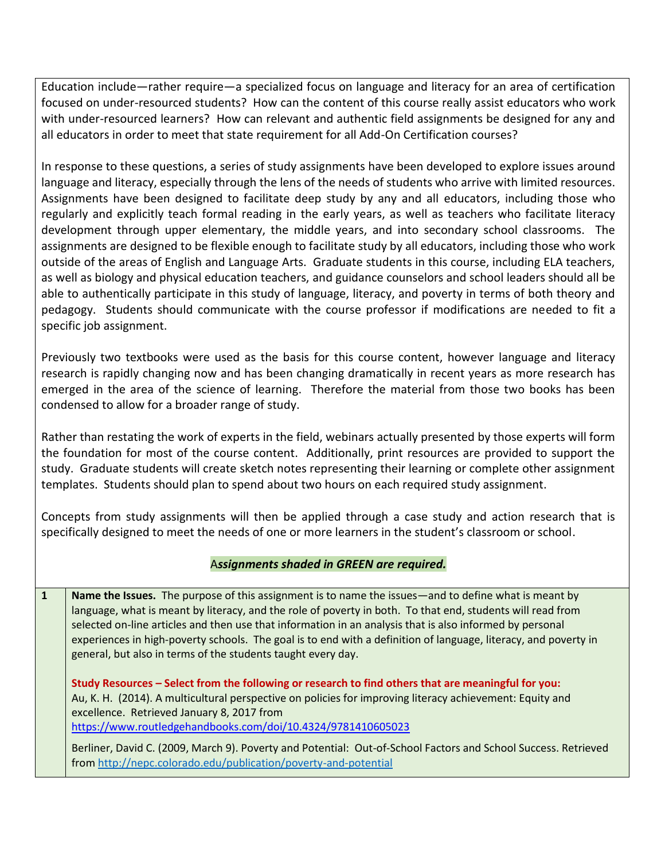Education include—rather require—a specialized focus on language and literacy for an area of certification focused on under-resourced students? How can the content of this course really assist educators who work with under-resourced learners? How can relevant and authentic field assignments be designed for any and all educators in order to meet that state requirement for all Add-On Certification courses?

In response to these questions, a series of study assignments have been developed to explore issues around language and literacy, especially through the lens of the needs of students who arrive with limited resources. Assignments have been designed to facilitate deep study by any and all educators, including those who regularly and explicitly teach formal reading in the early years, as well as teachers who facilitate literacy development through upper elementary, the middle years, and into secondary school classrooms. The assignments are designed to be flexible enough to facilitate study by all educators, including those who work outside of the areas of English and Language Arts. Graduate students in this course, including ELA teachers, as well as biology and physical education teachers, and guidance counselors and school leaders should all be able to authentically participate in this study of language, literacy, and poverty in terms of both theory and pedagogy. Students should communicate with the course professor if modifications are needed to fit a specific job assignment.

Previously two textbooks were used as the basis for this course content, however language and literacy research is rapidly changing now and has been changing dramatically in recent years as more research has emerged in the area of the science of learning. Therefore the material from those two books has been condensed to allow for a broader range of study.

Rather than restating the work of experts in the field, webinars actually presented by those experts will form the foundation for most of the course content. Additionally, print resources are provided to support the study. Graduate students will create sketch notes representing their learning or complete other assignment templates. Students should plan to spend about two hours on each required study assignment.

Concepts from study assignments will then be applied through a case study and action research that is specifically designed to meet the needs of one or more learners in the student's classroom or school.

### A*ssignments shaded in GREEN are required.*

**1 Name the Issues.** The purpose of this assignment is to name the issues—and to define what is meant by language, what is meant by literacy, and the role of poverty in both. To that end, students will read from selected on-line articles and then use that information in an analysis that is also informed by personal experiences in high-poverty schools. The goal is to end with a definition of language, literacy, and poverty in general, but also in terms of the students taught every day.

**Study Resources – Select from the following or research to find others that are meaningful for you:**  Au, K. H. (2014). A multicultural perspective on policies for improving literacy achievement: Equity and excellence. Retrieved January 8, 2017 from <https://www.routledgehandbooks.com/doi/10.4324/9781410605023>

Berliner, David C. (2009, March 9). Poverty and Potential: Out-of-School Factors and School Success. Retrieved from<http://nepc.colorado.edu/publication/poverty-and-potential>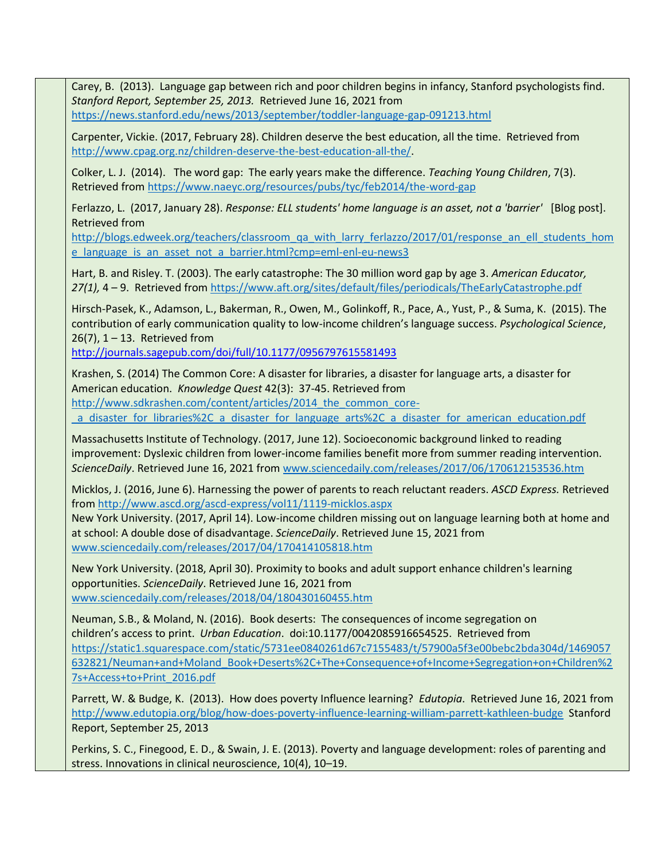Carey, B. (2013). Language gap between rich and poor children begins in infancy, Stanford psychologists find. *Stanford Report, September 25, 2013.* Retrieved June 16, 2021 from <https://news.stanford.edu/news/2013/september/toddler-language-gap-091213.html>

Carpenter, Vickie. (2017, February 28). Children deserve the best education, all the time. Retrieved from [http://www.cpag.org.nz/children-deserve-the-best-education-all-the/.](http://www.cpag.org.nz/children-deserve-the-best-education-all-the/)

Colker, L. J. (2014). The word gap: The early years make the difference. *Teaching Young Children*, 7(3). Retrieved from<https://www.naeyc.org/resources/pubs/tyc/feb2014/the-word-gap>

Ferlazzo, L. (2017, January 28). *Response: ELL students' home language is an asset, not a 'barrier'* [Blog post]. Retrieved from

[http://blogs.edweek.org/teachers/classroom\\_qa\\_with\\_larry\\_ferlazzo/2017/01/response\\_an\\_ell\\_students\\_hom](http://blogs.edweek.org/teachers/classroom_qa_with_larry_ferlazzo/2017/01/response_an_ell_students_home_language_is_an_asset_not_a_barrier.html?cmp=eml-enl-eu-news3) [e\\_language\\_is\\_an\\_asset\\_not\\_a\\_barrier.html?cmp=eml-enl-eu-news3](http://blogs.edweek.org/teachers/classroom_qa_with_larry_ferlazzo/2017/01/response_an_ell_students_home_language_is_an_asset_not_a_barrier.html?cmp=eml-enl-eu-news3)

Hart, B. and Risley. T. (2003). The early catastrophe: The 30 million word gap by age 3. *American Educator, 27(1),* 4 – 9. Retrieved from<https://www.aft.org/sites/default/files/periodicals/TheEarlyCatastrophe.pdf>

Hirsch-Pasek, K., Adamson, L., Bakerman, R., Owen, M., Golinkoff, R., Pace, A., Yust, P., & Suma, K. (2015). The contribution of early communication quality to low-income children's language success. *Psychological Science*,  $26(7)$ ,  $1 - 13$ . Retrieved from

<http://journals.sagepub.com/doi/full/10.1177/0956797615581493>

Krashen, S. (2014) The Common Core: A disaster for libraries, a disaster for language arts, a disaster for American education. *Knowledge Quest* 42(3): 37-45. Retrieved from

http://www.sdkrashen.com/content/articles/2014 the common core-

[\\_a\\_disaster\\_for\\_libraries%2C\\_a\\_disaster\\_for\\_language\\_arts%2C\\_a\\_disaster\\_for\\_american\\_education.pdf](http://www.sdkrashen.com/content/articles/2014_the_common_core-_a_disaster_for_libraries%2C_a_disaster_for_language_arts%2C_a_disaster_for_american_education.pdf)

Massachusetts Institute of Technology. (2017, June 12). Socioeconomic background linked to reading improvement: Dyslexic children from lower-income families benefit more from summer reading intervention. *ScienceDaily*. Retrieved June 16, 2021 fro[m www.sciencedaily.com/releases/2017/06/170612153536.htm](http://www.sciencedaily.com/releases/2017/06/170612153536.htm)

Micklos, J. (2016, June 6). Harnessing the power of parents to reach reluctant readers. *ASCD Express.* Retrieved from<http://www.ascd.org/ascd-express/vol11/1119-micklos.aspx>

New York University. (2017, April 14). Low-income children missing out on language learning both at home and at school: A double dose of disadvantage. *ScienceDaily*. Retrieved June 15, 2021 from [www.sciencedaily.com/releases/2017/04/170414105818.htm](http://www.sciencedaily.com/releases/2017/04/170414105818.htm)

New York University. (2018, April 30). Proximity to books and adult support enhance children's learning opportunities. *ScienceDaily*. Retrieved June 16, 2021 from [www.sciencedaily.com/releases/2018/04/180430160455.htm](http://www.sciencedaily.com/releases/2018/04/180430160455.htm)

Neuman, S.B., & Moland, N. (2016). Book deserts: The consequences of income segregation on children's access to print. *Urban Education*. doi:10.1177/0042085916654525. Retrieved from [https://static1.squarespace.com/static/5731ee0840261d67c7155483/t/57900a5f3e00bebc2bda304d/1469057](https://static1.squarespace.com/static/5731ee0840261d67c7155483/t/57900a5f3e00bebc2bda304d/1469057632821/Neuman+and+Moland_Book+Deserts%2C+The+Consequence+of+Income+Segregation+on+Children%27s+Access+to+Print_2016.pdf) [632821/Neuman+and+Moland\\_Book+Deserts%2C+The+Consequence+of+Income+Segregation+on+Children%2](https://static1.squarespace.com/static/5731ee0840261d67c7155483/t/57900a5f3e00bebc2bda304d/1469057632821/Neuman+and+Moland_Book+Deserts%2C+The+Consequence+of+Income+Segregation+on+Children%27s+Access+to+Print_2016.pdf) [7s+Access+to+Print\\_2016.pdf](https://static1.squarespace.com/static/5731ee0840261d67c7155483/t/57900a5f3e00bebc2bda304d/1469057632821/Neuman+and+Moland_Book+Deserts%2C+The+Consequence+of+Income+Segregation+on+Children%27s+Access+to+Print_2016.pdf)

Parrett, W. & Budge, K. (2013). How does poverty Influence learning? *Edutopia*. Retrieved June 16, 2021 from <http://www.edutopia.org/blog/how-does-poverty-influence-learning-william-parrett-kathleen-budge>Stanford Report, September 25, 2013

Perkins, S. C., Finegood, E. D., & Swain, J. E. (2013). Poverty and language development: roles of parenting and stress. Innovations in clinical neuroscience, 10(4), 10–19.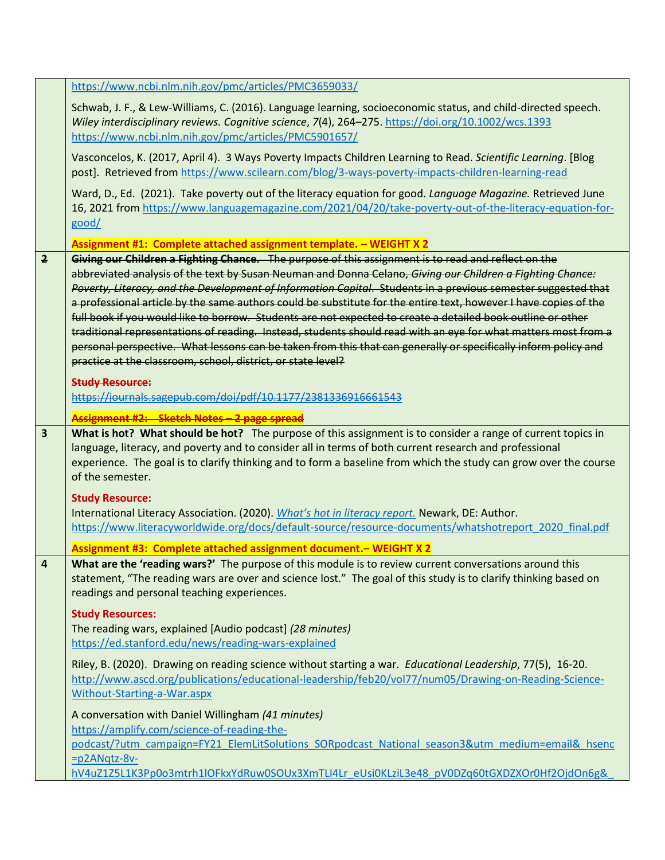|                | https://www.ncbi.nlm.nih.gov/pmc/articles/PMC3659033/                                                                                                                                                                                                                                                                                                                                                                                                                                                                                                                                                                                                                                                                                                                                                                                                                    |
|----------------|--------------------------------------------------------------------------------------------------------------------------------------------------------------------------------------------------------------------------------------------------------------------------------------------------------------------------------------------------------------------------------------------------------------------------------------------------------------------------------------------------------------------------------------------------------------------------------------------------------------------------------------------------------------------------------------------------------------------------------------------------------------------------------------------------------------------------------------------------------------------------|
|                | Schwab, J. F., & Lew-Williams, C. (2016). Language learning, socioeconomic status, and child-directed speech.<br>Wiley interdisciplinary reviews. Cognitive science, 7(4), 264-275. https://doi.org/10.1002/wcs.1393<br>https://www.ncbi.nlm.nih.gov/pmc/articles/PMC5901657/                                                                                                                                                                                                                                                                                                                                                                                                                                                                                                                                                                                            |
|                | Vasconcelos, K. (2017, April 4). 3 Ways Poverty Impacts Children Learning to Read. Scientific Learning. [Blog<br>post]. Retrieved from https://www.scilearn.com/blog/3-ways-poverty-impacts-children-learning-read                                                                                                                                                                                                                                                                                                                                                                                                                                                                                                                                                                                                                                                       |
|                | Ward, D., Ed. (2021). Take poverty out of the literacy equation for good. Language Magazine. Retrieved June<br>16, 2021 from https://www.languagemagazine.com/2021/04/20/take-poverty-out-of-the-literacy-equation-for-<br>good/                                                                                                                                                                                                                                                                                                                                                                                                                                                                                                                                                                                                                                         |
|                | Assignment #1: Complete attached assignment template. - WEIGHT X 2                                                                                                                                                                                                                                                                                                                                                                                                                                                                                                                                                                                                                                                                                                                                                                                                       |
| $\overline{2}$ | Giving our Children a Fighting Chance. The purpose of this assignment is to read and reflect on the<br>abbreviated analysis of the text by Susan Neuman and Donna Celano, Giving our Children a Fighting Chance:<br>Poverty, Literacy, and the Development of Information Capital. Students in a previous semester suggested that<br>a professional article by the same authors could be substitute for the entire text, however I have copies of the<br>full book if you would like to borrow. Students are not expected to create a detailed book outline or other<br>traditional representations of reading. Instead, students should read with an eye for what matters most from a<br>personal perspective. What lessons can be taken from this that can generally or specifically inform policy and<br>practice at the classroom, school, district, or state level? |
|                | <b>Study Resource:</b><br>https://journals.sagepub.com/doi/pdf/10.1177/2381336916661543                                                                                                                                                                                                                                                                                                                                                                                                                                                                                                                                                                                                                                                                                                                                                                                  |
|                | <b>Assignment #2: Sketch Notes - 2 page s</b>                                                                                                                                                                                                                                                                                                                                                                                                                                                                                                                                                                                                                                                                                                                                                                                                                            |
| 3              | What is hot? What should be hot? The purpose of this assignment is to consider a range of current topics in<br>language, literacy, and poverty and to consider all in terms of both current research and professional<br>experience. The goal is to clarify thinking and to form a baseline from which the study can grow over the course<br>of the semester.                                                                                                                                                                                                                                                                                                                                                                                                                                                                                                            |
|                | <b>Study Resource:</b><br>International Literacy Association. (2020). <i>What's hot in literacy report</i> . Newark, DE: Author.<br>https://www.literacyworldwide.org/docs/default-source/resource-documents/whatshotreport 2020 final.pdf                                                                                                                                                                                                                                                                                                                                                                                                                                                                                                                                                                                                                               |
|                | Assignment #3: Complete attached assignment document. - WEIGHT X 2                                                                                                                                                                                                                                                                                                                                                                                                                                                                                                                                                                                                                                                                                                                                                                                                       |
| 4              | What are the 'reading wars?' The purpose of this module is to review current conversations around this<br>statement, "The reading wars are over and science lost." The goal of this study is to clarify thinking based on<br>readings and personal teaching experiences.                                                                                                                                                                                                                                                                                                                                                                                                                                                                                                                                                                                                 |
|                | <b>Study Resources:</b><br>The reading wars, explained [Audio podcast] (28 minutes)<br>https://ed.stanford.edu/news/reading-wars-explained                                                                                                                                                                                                                                                                                                                                                                                                                                                                                                                                                                                                                                                                                                                               |
|                | Riley, B. (2020). Drawing on reading science without starting a war. Educational Leadership, 77(5), 16-20.<br>http://www.ascd.org/publications/educational-leadership/feb20/vol77/num05/Drawing-on-Reading-Science-<br>Without-Starting-a-War.aspx                                                                                                                                                                                                                                                                                                                                                                                                                                                                                                                                                                                                                       |
|                | A conversation with Daniel Willingham (41 minutes)                                                                                                                                                                                                                                                                                                                                                                                                                                                                                                                                                                                                                                                                                                                                                                                                                       |
|                | https://amplify.com/science-of-reading-the-                                                                                                                                                                                                                                                                                                                                                                                                                                                                                                                                                                                                                                                                                                                                                                                                                              |
|                | podcast/?utm_campaign=FY21_ElemLitSolutions_SORpodcast_National_season3&utm_medium=email&_hsenc<br>$=p2$ ANqtz-8 $v$ -                                                                                                                                                                                                                                                                                                                                                                                                                                                                                                                                                                                                                                                                                                                                                   |
|                | hV4uZ1Z5L1K3Pp0o3mtrh1lOFkxYdRuw0SOUx3XmTLI4Lr_eUsi0KLziL3e48_pV0DZq60tGXDZXOr0Hf2OjdOn6g&                                                                                                                                                                                                                                                                                                                                                                                                                                                                                                                                                                                                                                                                                                                                                                               |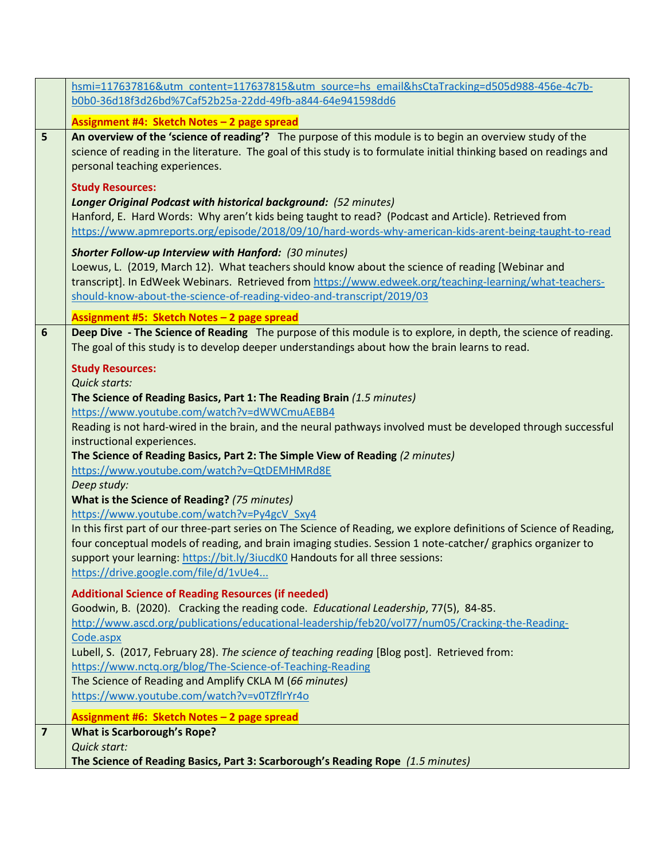|   | hsmi=117637816&utm_content=117637815&utm_source=hs_email&hsCtaTracking=d505d988-456e-4c7b-                                                                                                                                                                                                                                                                                   |
|---|------------------------------------------------------------------------------------------------------------------------------------------------------------------------------------------------------------------------------------------------------------------------------------------------------------------------------------------------------------------------------|
|   | b0b0-36d18f3d26bd%7Caf52b25a-22dd-49fb-a844-64e941598dd6                                                                                                                                                                                                                                                                                                                     |
|   | Assignment #4: Sketch Notes - 2 page spread                                                                                                                                                                                                                                                                                                                                  |
| 5 | An overview of the 'science of reading'? The purpose of this module is to begin an overview study of the<br>science of reading in the literature. The goal of this study is to formulate initial thinking based on readings and<br>personal teaching experiences.                                                                                                            |
|   | <b>Study Resources:</b><br>Longer Original Podcast with historical background: (52 minutes)<br>Hanford, E. Hard Words: Why aren't kids being taught to read? (Podcast and Article). Retrieved from<br>https://www.apmreports.org/episode/2018/09/10/hard-words-why-american-kids-arent-being-taught-to-read<br><b>Shorter Follow-up Interview with Hanford: (30 minutes)</b> |
|   | Loewus, L. (2019, March 12). What teachers should know about the science of reading [Webinar and<br>transcript]. In EdWeek Webinars. Retrieved from https://www.edweek.org/teaching-learning/what-teachers-<br>should-know-about-the-science-of-reading-video-and-transcript/2019/03                                                                                         |
|   | Assignment #5: Sketch Notes - 2 page spread                                                                                                                                                                                                                                                                                                                                  |
| 6 | Deep Dive - The Science of Reading The purpose of this module is to explore, in depth, the science of reading.<br>The goal of this study is to develop deeper understandings about how the brain learns to read.                                                                                                                                                             |
|   | <b>Study Resources:</b><br>Quick starts:<br>The Science of Reading Basics, Part 1: The Reading Brain (1.5 minutes)<br>https://www.youtube.com/watch?v=dWWCmuAEBB4                                                                                                                                                                                                            |
|   | Reading is not hard-wired in the brain, and the neural pathways involved must be developed through successful<br>instructional experiences.<br>The Science of Reading Basics, Part 2: The Simple View of Reading (2 minutes)                                                                                                                                                 |
|   | https://www.youtube.com/watch?v=QtDEMHMRd8E                                                                                                                                                                                                                                                                                                                                  |
|   | Deep study:                                                                                                                                                                                                                                                                                                                                                                  |
|   | What is the Science of Reading? (75 minutes)                                                                                                                                                                                                                                                                                                                                 |
|   | https://www.youtube.com/watch?v=Py4gcV Sxy4                                                                                                                                                                                                                                                                                                                                  |
|   | In this first part of our three-part series on The Science of Reading, we explore definitions of Science of Reading,<br>four conceptual models of reading, and brain imaging studies. Session 1 note-catcher/ graphics organizer to<br>support your learning: https://bit.ly/3iucdK0 Handouts for all three sessions:<br>https://drive.google.com/file/d/1vUe4               |
|   |                                                                                                                                                                                                                                                                                                                                                                              |
|   | <b>Additional Science of Reading Resources (if needed)</b><br>Goodwin, B. (2020). Cracking the reading code. Educational Leadership, 77(5), 84-85.                                                                                                                                                                                                                           |
|   | http://www.ascd.org/publications/educational-leadership/feb20/vol77/num05/Cracking-the-Reading-                                                                                                                                                                                                                                                                              |
|   | Code.aspx<br>Lubell, S. (2017, February 28). The science of teaching reading [Blog post]. Retrieved from:<br>https://www.nctq.org/blog/The-Science-of-Teaching-Reading                                                                                                                                                                                                       |
|   | The Science of Reading and Amplify CKLA M (66 minutes)<br>https://www.youtube.com/watch?v=v0TZflrYr4o                                                                                                                                                                                                                                                                        |
|   | Assignment #6: Sketch Notes - 2 page spread                                                                                                                                                                                                                                                                                                                                  |
| 7 | <b>What is Scarborough's Rope?</b>                                                                                                                                                                                                                                                                                                                                           |
|   | Quick start:                                                                                                                                                                                                                                                                                                                                                                 |
|   | The Science of Reading Basics, Part 3: Scarborough's Reading Rope (1.5 minutes)                                                                                                                                                                                                                                                                                              |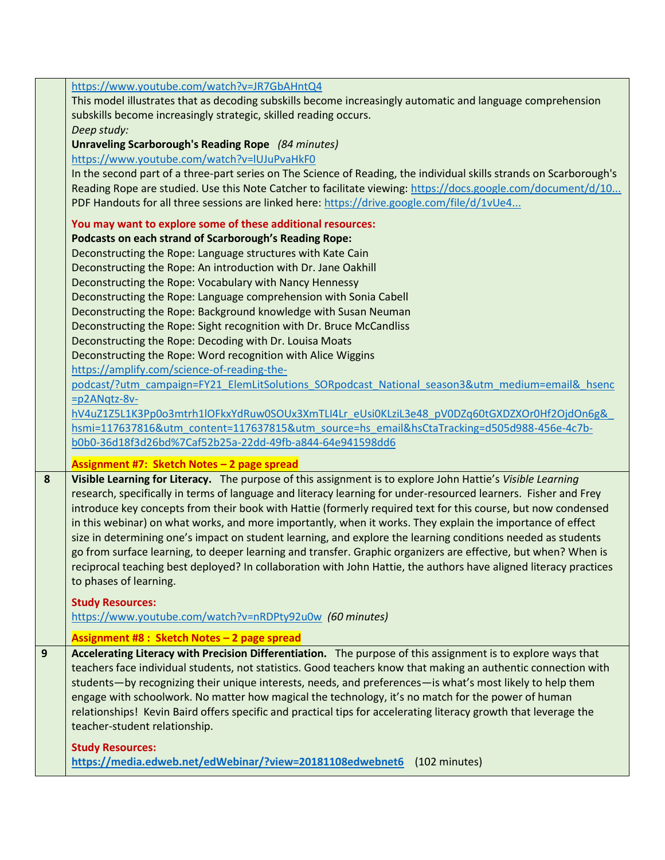|   | https://www.youtube.com/watch?v=JR7GbAHntQ4<br>This model illustrates that as decoding subskills become increasingly automatic and language comprehension<br>subskills become increasingly strategic, skilled reading occurs.<br>Deep study:<br>Unraveling Scarborough's Reading Rope (84 minutes)<br>https://www.youtube.com/watch?v=IUJuPvaHkF0<br>In the second part of a three-part series on The Science of Reading, the individual skills strands on Scarborough's<br>Reading Rope are studied. Use this Note Catcher to facilitate viewing: https://docs.google.com/document/d/10<br>PDF Handouts for all three sessions are linked here: https://drive.google.com/file/d/1vUe4                                                                     |
|---|------------------------------------------------------------------------------------------------------------------------------------------------------------------------------------------------------------------------------------------------------------------------------------------------------------------------------------------------------------------------------------------------------------------------------------------------------------------------------------------------------------------------------------------------------------------------------------------------------------------------------------------------------------------------------------------------------------------------------------------------------------|
|   | You may want to explore some of these additional resources:<br>Podcasts on each strand of Scarborough's Reading Rope:<br>Deconstructing the Rope: Language structures with Kate Cain<br>Deconstructing the Rope: An introduction with Dr. Jane Oakhill<br>Deconstructing the Rope: Vocabulary with Nancy Hennessy<br>Deconstructing the Rope: Language comprehension with Sonia Cabell<br>Deconstructing the Rope: Background knowledge with Susan Neuman                                                                                                                                                                                                                                                                                                  |
|   | Deconstructing the Rope: Sight recognition with Dr. Bruce McCandliss<br>Deconstructing the Rope: Decoding with Dr. Louisa Moats<br>Deconstructing the Rope: Word recognition with Alice Wiggins<br>https://amplify.com/science-of-reading-the-<br>podcast/?utm_campaign=FY21_ElemLitSolutions_SORpodcast_National_season3&utm_medium=email&_hsenc<br>$=p2$ ANqtz-8 $v$ -                                                                                                                                                                                                                                                                                                                                                                                   |
| 8 | hV4uZ1Z5L1K3Pp0o3mtrh1lOFkxYdRuw0SOUx3XmTLI4Lr_eUsi0KLziL3e48_pV0DZq60tGXDZXOr0Hf2OjdOn6g&<br>hsmi=117637816&utm_content=117637815&utm_source=hs_email&hsCtaTracking=d505d988-456e-4c7b-<br>b0b0-36d18f3d26bd%7Caf52b25a-22dd-49fb-a844-64e941598dd6<br>Assignment #7: Sketch Notes - 2 page spread<br>Visible Learning for Literacy. The purpose of this assignment is to explore John Hattie's Visible Learning                                                                                                                                                                                                                                                                                                                                          |
|   | research, specifically in terms of language and literacy learning for under-resourced learners. Fisher and Frey<br>introduce key concepts from their book with Hattie (formerly required text for this course, but now condensed<br>in this webinar) on what works, and more importantly, when it works. They explain the importance of effect<br>size in determining one's impact on student learning, and explore the learning conditions needed as students<br>go from surface learning, to deeper learning and transfer. Graphic organizers are effective, but when? When is<br>reciprocal teaching best deployed? In collaboration with John Hattie, the authors have aligned literacy practices<br>to phases of learning.<br><b>Study Resources:</b> |
|   | https://www.youtube.com/watch?v=nRDPty92u0w (60 minutes)<br>Assignment #8 : Sketch Notes - 2 page spread                                                                                                                                                                                                                                                                                                                                                                                                                                                                                                                                                                                                                                                   |
| 9 | Accelerating Literacy with Precision Differentiation. The purpose of this assignment is to explore ways that<br>teachers face individual students, not statistics. Good teachers know that making an authentic connection with<br>students—by recognizing their unique interests, needs, and preferences—is what's most likely to help them<br>engage with schoolwork. No matter how magical the technology, it's no match for the power of human<br>relationships! Kevin Baird offers specific and practical tips for accelerating literacy growth that leverage the<br>teacher-student relationship.                                                                                                                                                     |
|   | <b>Study Resources:</b><br>https://media.edweb.net/edWebinar/?view=20181108edwebnet6 (102 minutes)                                                                                                                                                                                                                                                                                                                                                                                                                                                                                                                                                                                                                                                         |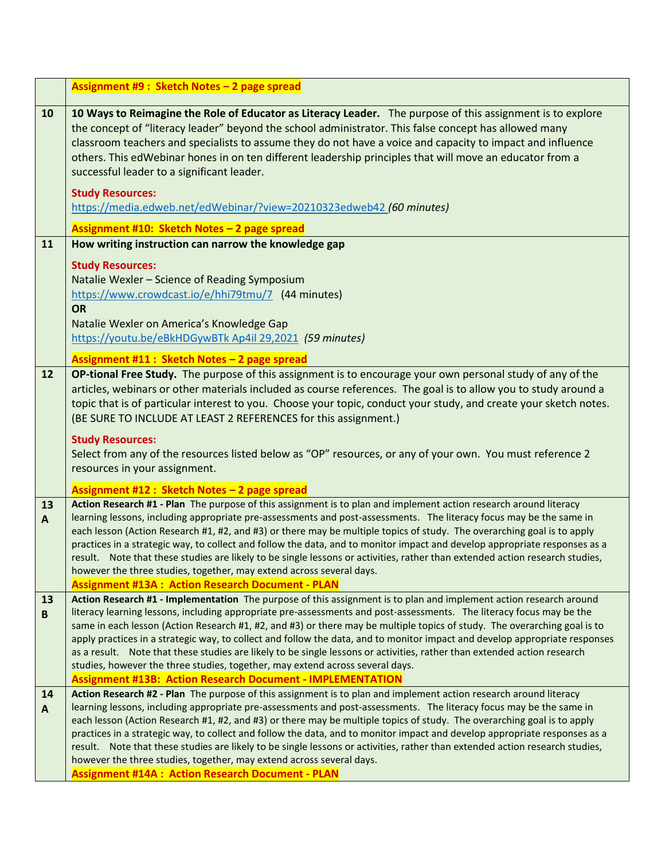|                    | Assignment #9 : Sketch Notes - 2 page spread                                                                                                                                                                                                                                                                                                                                                                                                                                                                                                                                                                                                                                                                                                                         |
|--------------------|----------------------------------------------------------------------------------------------------------------------------------------------------------------------------------------------------------------------------------------------------------------------------------------------------------------------------------------------------------------------------------------------------------------------------------------------------------------------------------------------------------------------------------------------------------------------------------------------------------------------------------------------------------------------------------------------------------------------------------------------------------------------|
| 10                 | 10 Ways to Reimagine the Role of Educator as Literacy Leader. The purpose of this assignment is to explore<br>the concept of "literacy leader" beyond the school administrator. This false concept has allowed many<br>classroom teachers and specialists to assume they do not have a voice and capacity to impact and influence<br>others. This edWebinar hones in on ten different leadership principles that will move an educator from a<br>successful leader to a significant leader.<br><b>Study Resources:</b>                                                                                                                                                                                                                                               |
|                    | https://media.edweb.net/edWebinar/?view=20210323edweb42 (60 minutes)                                                                                                                                                                                                                                                                                                                                                                                                                                                                                                                                                                                                                                                                                                 |
| 11                 | Assignment #10: Sketch Notes - 2 page spread<br>How writing instruction can narrow the knowledge gap                                                                                                                                                                                                                                                                                                                                                                                                                                                                                                                                                                                                                                                                 |
|                    | <b>Study Resources:</b><br>Natalie Wexler - Science of Reading Symposium<br>https://www.crowdcast.io/e/hhi79tmu/7 (44 minutes)<br><b>OR</b><br>Natalie Wexler on America's Knowledge Gap<br>https://youtu.be/eBkHDGywBTk Ap4il 29,2021 (59 minutes)                                                                                                                                                                                                                                                                                                                                                                                                                                                                                                                  |
|                    | Assignment #11: Sketch Notes - 2 page spread                                                                                                                                                                                                                                                                                                                                                                                                                                                                                                                                                                                                                                                                                                                         |
| 12                 | OP-tional Free Study. The purpose of this assignment is to encourage your own personal study of any of the<br>articles, webinars or other materials included as course references. The goal is to allow you to study around a<br>topic that is of particular interest to you. Choose your topic, conduct your study, and create your sketch notes.<br>(BE SURE TO INCLUDE AT LEAST 2 REFERENCES for this assignment.)<br><b>Study Resources:</b><br>Select from any of the resources listed below as "OP" resources, or any of your own. You must reference 2<br>resources in your assignment.                                                                                                                                                                       |
|                    | Assignment #12 : Sketch Notes - 2 page spread                                                                                                                                                                                                                                                                                                                                                                                                                                                                                                                                                                                                                                                                                                                        |
| 13<br>$\mathbf{A}$ | Action Research #1 - Plan The purpose of this assignment is to plan and implement action research around literacy<br>learning lessons, including appropriate pre-assessments and post-assessments. The literacy focus may be the same in<br>each lesson (Action Research #1, #2, and #3) or there may be multiple topics of study. The overarching goal is to apply<br>practices in a strategic way, to collect and follow the data, and to monitor impact and develop appropriate responses as a<br>result. Note that these studies are likely to be single lessons or activities, rather than extended action research studies,<br>however the three studies, together, may extend across several days.<br><b>Assignment #13A: Action Research Document - PLAN</b> |
| 13                 | Action Research #1 - Implementation The purpose of this assignment is to plan and implement action research around                                                                                                                                                                                                                                                                                                                                                                                                                                                                                                                                                                                                                                                   |
| B                  | literacy learning lessons, including appropriate pre-assessments and post-assessments. The literacy focus may be the<br>same in each lesson (Action Research #1, #2, and #3) or there may be multiple topics of study. The overarching goal is to<br>apply practices in a strategic way, to collect and follow the data, and to monitor impact and develop appropriate responses<br>as a result. Note that these studies are likely to be single lessons or activities, rather than extended action research<br>studies, however the three studies, together, may extend across several days.<br><b>Assignment #13B: Action Research Document - IMPLEMENTATION</b>                                                                                                   |
| 14                 | Action Research #2 - Plan The purpose of this assignment is to plan and implement action research around literacy                                                                                                                                                                                                                                                                                                                                                                                                                                                                                                                                                                                                                                                    |
| $\mathbf{A}$       | learning lessons, including appropriate pre-assessments and post-assessments. The literacy focus may be the same in<br>each lesson (Action Research #1, #2, and #3) or there may be multiple topics of study. The overarching goal is to apply<br>practices in a strategic way, to collect and follow the data, and to monitor impact and develop appropriate responses as a<br>result. Note that these studies are likely to be single lessons or activities, rather than extended action research studies,<br>however the three studies, together, may extend across several days.<br><b>Assignment #14A : Action Research Document - PLAN</b>                                                                                                                     |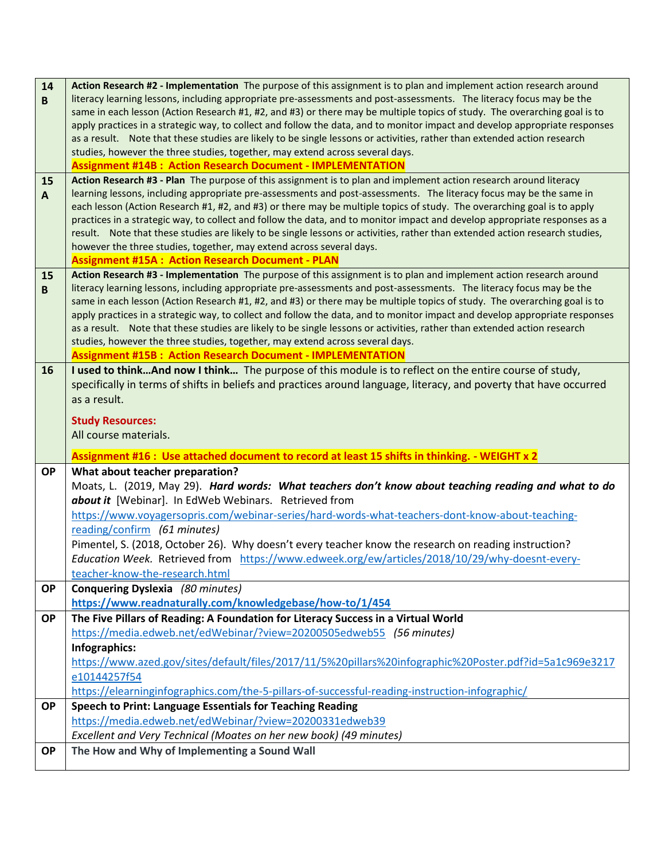| 14<br>B      | Action Research #2 - Implementation The purpose of this assignment is to plan and implement action research around<br>literacy learning lessons, including appropriate pre-assessments and post-assessments. The literacy focus may be the<br>same in each lesson (Action Research #1, #2, and #3) or there may be multiple topics of study. The overarching goal is to<br>apply practices in a strategic way, to collect and follow the data, and to monitor impact and develop appropriate responses<br>as a result. Note that these studies are likely to be single lessons or activities, rather than extended action research                                                                                  |
|--------------|---------------------------------------------------------------------------------------------------------------------------------------------------------------------------------------------------------------------------------------------------------------------------------------------------------------------------------------------------------------------------------------------------------------------------------------------------------------------------------------------------------------------------------------------------------------------------------------------------------------------------------------------------------------------------------------------------------------------|
|              | studies, however the three studies, together, may extend across several days.<br><b>Assignment #14B: Action Research Document - IMPLEMENTATION</b>                                                                                                                                                                                                                                                                                                                                                                                                                                                                                                                                                                  |
| 15           | Action Research #3 - Plan The purpose of this assignment is to plan and implement action research around literacy                                                                                                                                                                                                                                                                                                                                                                                                                                                                                                                                                                                                   |
| $\mathbf{A}$ | learning lessons, including appropriate pre-assessments and post-assessments. The literacy focus may be the same in<br>each lesson (Action Research #1, #2, and #3) or there may be multiple topics of study. The overarching goal is to apply<br>practices in a strategic way, to collect and follow the data, and to monitor impact and develop appropriate responses as a<br>result. Note that these studies are likely to be single lessons or activities, rather than extended action research studies,<br>however the three studies, together, may extend across several days.<br><b>Assignment #15A: Action Research Document - PLAN</b>                                                                     |
| 15<br>B      | Action Research #3 - Implementation The purpose of this assignment is to plan and implement action research around<br>literacy learning lessons, including appropriate pre-assessments and post-assessments. The literacy focus may be the<br>same in each lesson (Action Research #1, #2, and #3) or there may be multiple topics of study. The overarching goal is to<br>apply practices in a strategic way, to collect and follow the data, and to monitor impact and develop appropriate responses<br>as a result. Note that these studies are likely to be single lessons or activities, rather than extended action research<br>studies, however the three studies, together, may extend across several days. |
|              | <b>Assignment #15B: Action Research Document - IMPLEMENTATION</b>                                                                                                                                                                                                                                                                                                                                                                                                                                                                                                                                                                                                                                                   |
| 16           | I used to thinkAnd now I think The purpose of this module is to reflect on the entire course of study,<br>specifically in terms of shifts in beliefs and practices around language, literacy, and poverty that have occurred<br>as a result.<br><b>Study Resources:</b><br>All course materials.                                                                                                                                                                                                                                                                                                                                                                                                                    |
|              | Assignment #16 : Use attached document to record at least 15 shifts in thinking. - WEIGHT x 2                                                                                                                                                                                                                                                                                                                                                                                                                                                                                                                                                                                                                       |
| <b>OP</b>    | What about teacher preparation?<br>Moats, L. (2019, May 29). Hard words: What teachers don't know about teaching reading and what to do                                                                                                                                                                                                                                                                                                                                                                                                                                                                                                                                                                             |
|              | about it [Webinar]. In EdWeb Webinars. Retrieved from                                                                                                                                                                                                                                                                                                                                                                                                                                                                                                                                                                                                                                                               |
|              | https://www.voyagersopris.com/webinar-series/hard-words-what-teachers-dont-know-about-teaching-                                                                                                                                                                                                                                                                                                                                                                                                                                                                                                                                                                                                                     |
|              | reading/confirm (61 minutes)                                                                                                                                                                                                                                                                                                                                                                                                                                                                                                                                                                                                                                                                                        |
|              | Pimentel, S. (2018, October 26). Why doesn't every teacher know the research on reading instruction?                                                                                                                                                                                                                                                                                                                                                                                                                                                                                                                                                                                                                |
|              | Education Week. Retrieved from https://www.edweek.org/ew/articles/2018/10/29/why-doesnt-every-<br>teacher-know-the-research.html                                                                                                                                                                                                                                                                                                                                                                                                                                                                                                                                                                                    |
| <b>OP</b>    | Conquering Dyslexia (80 minutes)                                                                                                                                                                                                                                                                                                                                                                                                                                                                                                                                                                                                                                                                                    |
|              | https://www.readnaturally.com/knowledgebase/how-to/1/454                                                                                                                                                                                                                                                                                                                                                                                                                                                                                                                                                                                                                                                            |
| <b>OP</b>    |                                                                                                                                                                                                                                                                                                                                                                                                                                                                                                                                                                                                                                                                                                                     |
|              |                                                                                                                                                                                                                                                                                                                                                                                                                                                                                                                                                                                                                                                                                                                     |
|              | The Five Pillars of Reading: A Foundation for Literacy Success in a Virtual World<br>https://media.edweb.net/edWebinar/?view=20200505edweb55 (56 minutes)                                                                                                                                                                                                                                                                                                                                                                                                                                                                                                                                                           |
|              | Infographics:                                                                                                                                                                                                                                                                                                                                                                                                                                                                                                                                                                                                                                                                                                       |
|              | https://www.azed.gov/sites/default/files/2017/11/5%20pillars%20infographic%20Poster.pdf?id=5a1c969e3217                                                                                                                                                                                                                                                                                                                                                                                                                                                                                                                                                                                                             |
|              | e10144257f54                                                                                                                                                                                                                                                                                                                                                                                                                                                                                                                                                                                                                                                                                                        |
|              | https://elearninginfographics.com/the-5-pillars-of-successful-reading-instruction-infographic/                                                                                                                                                                                                                                                                                                                                                                                                                                                                                                                                                                                                                      |
| <b>OP</b>    | <b>Speech to Print: Language Essentials for Teaching Reading</b>                                                                                                                                                                                                                                                                                                                                                                                                                                                                                                                                                                                                                                                    |
|              | https://media.edweb.net/edWebinar/?view=20200331edweb39<br>Excellent and Very Technical (Moates on her new book) (49 minutes)                                                                                                                                                                                                                                                                                                                                                                                                                                                                                                                                                                                       |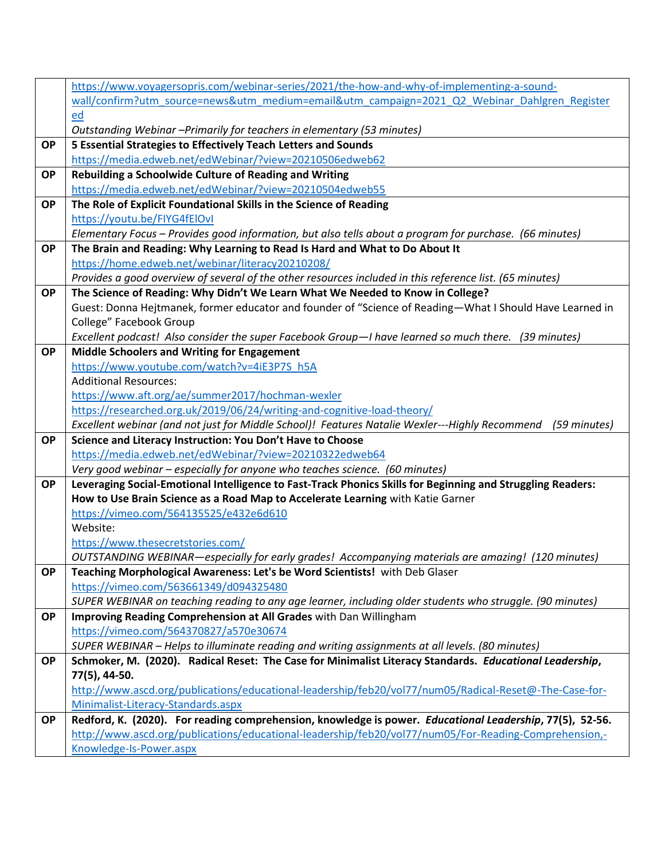|           | https://www.voyagersopris.com/webinar-series/2021/the-how-and-why-of-implementing-a-sound-                  |
|-----------|-------------------------------------------------------------------------------------------------------------|
|           | wall/confirm?utm_source=news&utm_medium=email&utm_campaign=2021_Q2_Webinar_Dahlgren_Register                |
|           | ed                                                                                                          |
|           | Outstanding Webinar -Primarily for teachers in elementary (53 minutes)                                      |
| <b>OP</b> | 5 Essential Strategies to Effectively Teach Letters and Sounds                                              |
|           | https://media.edweb.net/edWebinar/?view=20210506edweb62                                                     |
| <b>OP</b> | Rebuilding a Schoolwide Culture of Reading and Writing                                                      |
|           | https://media.edweb.net/edWebinar/?view=20210504edweb55                                                     |
| <b>OP</b> | The Role of Explicit Foundational Skills in the Science of Reading                                          |
|           | https://youtu.be/FIYG4fElOvI                                                                                |
|           | Elementary Focus - Provides good information, but also tells about a program for purchase. (66 minutes)     |
| <b>OP</b> | The Brain and Reading: Why Learning to Read Is Hard and What to Do About It                                 |
|           | https://home.edweb.net/webinar/literacy20210208/                                                            |
|           | Provides a good overview of several of the other resources included in this reference list. (65 minutes)    |
| <b>OP</b> | The Science of Reading: Why Didn't We Learn What We Needed to Know in College?                              |
|           | Guest: Donna Hejtmanek, former educator and founder of "Science of Reading-What I Should Have Learned in    |
|           | College" Facebook Group                                                                                     |
|           | Excellent podcast! Also consider the super Facebook Group-I have learned so much there. (39 minutes)        |
| <b>OP</b> | <b>Middle Schoolers and Writing for Engagement</b>                                                          |
|           | https://www.youtube.com/watch?v=4iE3P7S h5A                                                                 |
|           | <b>Additional Resources:</b>                                                                                |
|           | https://www.aft.org/ae/summer2017/hochman-wexler                                                            |
|           | https://researched.org.uk/2019/06/24/writing-and-cognitive-load-theory/                                     |
|           | Excellent webinar (and not just for Middle School)! Features Natalie Wexler---Highly Recommend (59 minutes) |
| <b>OP</b> | Science and Literacy Instruction: You Don't Have to Choose                                                  |
|           | https://media.edweb.net/edWebinar/?view=20210322edweb64                                                     |
|           | Very good webinar - especially for anyone who teaches science. (60 minutes)                                 |
| <b>OP</b> | Leveraging Social-Emotional Intelligence to Fast-Track Phonics Skills for Beginning and Struggling Readers: |
|           | How to Use Brain Science as a Road Map to Accelerate Learning with Katie Garner                             |
|           | https://vimeo.com/564135525/e432e6d610                                                                      |
|           | Website:                                                                                                    |
|           | https://www.thesecretstories.com/                                                                           |
|           | OUTSTANDING WEBINAR—especially for early grades! Accompanying materials are amazing! (120 minutes)          |
| <b>OP</b> | Teaching Morphological Awareness: Let's be Word Scientists! with Deb Glaser                                 |
|           | https://vimeo.com/563661349/d094325480                                                                      |
| <b>OP</b> | SUPER WEBINAR on teaching reading to any age learner, including older students who struggle. (90 minutes)   |
|           | Improving Reading Comprehension at All Grades with Dan Willingham<br>https://vimeo.com/564370827/a570e30674 |
|           | SUPER WEBINAR - Helps to illuminate reading and writing assignments at all levels. (80 minutes)             |
| <b>OP</b> | Schmoker, M. (2020). Radical Reset: The Case for Minimalist Literacy Standards. Educational Leadership,     |
|           | 77(5), 44-50.                                                                                               |
|           | http://www.ascd.org/publications/educational-leadership/feb20/vol77/num05/Radical-Reset@-The-Case-for-      |
|           | Minimalist-Literacy-Standards.aspx                                                                          |
| <b>OP</b> | Redford, K. (2020). For reading comprehension, knowledge is power. Educational Leadership, 77(5), 52-56.    |
|           | http://www.ascd.org/publications/educational-leadership/feb20/vol77/num05/For-Reading-Comprehension,-       |
|           | Knowledge-Is-Power.aspx                                                                                     |
|           |                                                                                                             |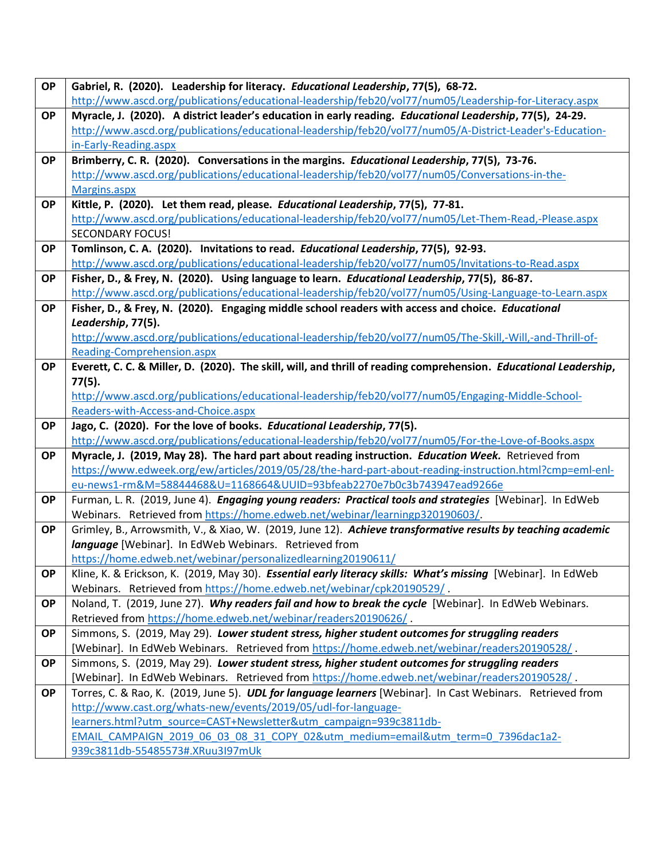| <b>OP</b> | Gabriel, R. (2020). Leadership for literacy. Educational Leadership, 77(5), 68-72.                                                       |
|-----------|------------------------------------------------------------------------------------------------------------------------------------------|
|           | http://www.ascd.org/publications/educational-leadership/feb20/vol77/num05/Leadership-for-Literacy.aspx                                   |
| <b>OP</b> | Myracle, J. (2020). A district leader's education in early reading. Educational Leadership, 77(5), 24-29.                                |
|           | http://www.ascd.org/publications/educational-leadership/feb20/vol77/num05/A-District-Leader's-Education-                                 |
|           | in-Early-Reading.aspx                                                                                                                    |
| <b>OP</b> | Brimberry, C. R. (2020). Conversations in the margins. Educational Leadership, 77(5), 73-76.                                             |
|           | http://www.ascd.org/publications/educational-leadership/feb20/vol77/num05/Conversations-in-the-                                          |
|           | Margins.aspx                                                                                                                             |
| <b>OP</b> | Kittle, P. (2020). Let them read, please. Educational Leadership, 77(5), 77-81.                                                          |
|           | http://www.ascd.org/publications/educational-leadership/feb20/vol77/num05/Let-Them-Read,-Please.aspx                                     |
|           | <b>SECONDARY FOCUS!</b>                                                                                                                  |
| <b>OP</b> | Tomlinson, C. A. (2020). Invitations to read. Educational Leadership, 77(5), 92-93.                                                      |
|           | http://www.ascd.org/publications/educational-leadership/feb20/vol77/num05/Invitations-to-Read.aspx                                       |
| <b>OP</b> | Fisher, D., & Frey, N. (2020). Using language to learn. Educational Leadership, 77(5), 86-87.                                            |
|           | http://www.ascd.org/publications/educational-leadership/feb20/vol77/num05/Using-Language-to-Learn.aspx                                   |
| <b>OP</b> | Fisher, D., & Frey, N. (2020). Engaging middle school readers with access and choice. Educational                                        |
|           | Leadership, 77(5).                                                                                                                       |
|           | http://www.ascd.org/publications/educational-leadership/feb20/vol77/num05/The-Skill,-Will,-and-Thrill-of-                                |
|           | Reading-Comprehension.aspx                                                                                                               |
| <b>OP</b> | Everett, C. C. & Miller, D. (2020). The skill, will, and thrill of reading comprehension. Educational Leadership,                        |
|           | 77(5).                                                                                                                                   |
|           | http://www.ascd.org/publications/educational-leadership/feb20/vol77/num05/Engaging-Middle-School-<br>Readers-with-Access-and-Choice.aspx |
| <b>OP</b> | Jago, C. (2020). For the love of books. Educational Leadership, 77(5).                                                                   |
|           | http://www.ascd.org/publications/educational-leadership/feb20/vol77/num05/For-the-Love-of-Books.aspx                                     |
| <b>OP</b> | Myracle, J. (2019, May 28). The hard part about reading instruction. Education Week. Retrieved from                                      |
|           | https://www.edweek.org/ew/articles/2019/05/28/the-hard-part-about-reading-instruction.html?cmp=eml-enl-                                  |
|           | eu-news1-rm&M=58844468&U=1168664&UUID=93bfeab2270e7b0c3b743947ead9266e                                                                   |
| <b>OP</b> | Furman, L. R. (2019, June 4). <i>Engaging young readers: Practical tools and strategies</i> [Webinar]. In EdWeb                          |
|           | Webinars. Retrieved from https://home.edweb.net/webinar/learningp320190603/.                                                             |
| <b>OP</b> | Grimley, B., Arrowsmith, V., & Xiao, W. (2019, June 12). Achieve transformative results by teaching academic                             |
|           | language [Webinar]. In EdWeb Webinars. Retrieved from                                                                                    |
|           | https://home.edweb.net/webinar/personalizedlearning20190611/                                                                             |
| <b>OP</b> | Kline, K. & Erickson, K. (2019, May 30). Essential early literacy skills: What's missing [Webinar]. In EdWeb                             |
|           | Webinars. Retrieved from https://home.edweb.net/webinar/cpk20190529/.                                                                    |
| <b>OP</b> | Noland, T. (2019, June 27). Why readers fail and how to break the cycle [Webinar]. In EdWeb Webinars.                                    |
|           | Retrieved from https://home.edweb.net/webinar/readers20190626/                                                                           |
| <b>OP</b> | Simmons, S. (2019, May 29). Lower student stress, higher student outcomes for struggling readers                                         |
|           | [Webinar]. In EdWeb Webinars. Retrieved from https://home.edweb.net/webinar/readers20190528/.                                            |
| <b>OP</b> | Simmons, S. (2019, May 29). Lower student stress, higher student outcomes for struggling readers                                         |
|           |                                                                                                                                          |
|           | [Webinar]. In EdWeb Webinars. Retrieved from https://home.edweb.net/webinar/readers20190528/.                                            |
| <b>OP</b> | Torres, C. & Rao, K. (2019, June 5). UDL for language learners [Webinar]. In Cast Webinars. Retrieved from                               |
|           | http://www.cast.org/whats-new/events/2019/05/udl-for-language-                                                                           |
|           | learners.html?utm_source=CAST+Newsletter&utm_campaign=939c3811db-                                                                        |
|           | EMAIL CAMPAIGN 2019 06 03 08 31 COPY 02&utm medium=email&utm term=0 7396dac1a2-<br>939c3811db-55485573#.XRuu3I97mUk                      |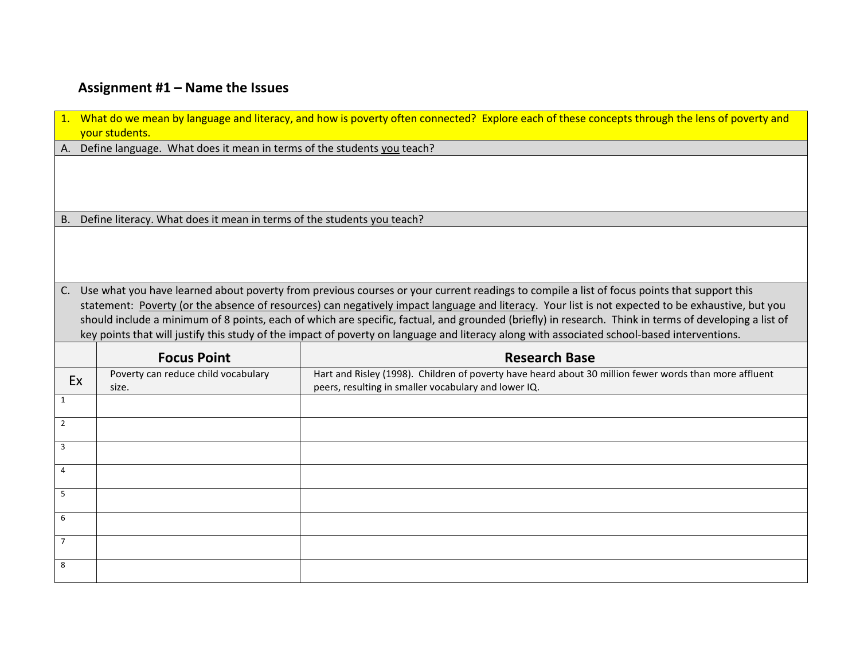# **Assignment #1 – Name the Issues**

|                | 1. What do we mean by language and literacy, and how is poverty often connected? Explore each of these concepts through the lens of poverty and<br>your students. |                                                                                                                                                       |  |  |  |  |  |  |
|----------------|-------------------------------------------------------------------------------------------------------------------------------------------------------------------|-------------------------------------------------------------------------------------------------------------------------------------------------------|--|--|--|--|--|--|
| A.             | Define language. What does it mean in terms of the students you teach?                                                                                            |                                                                                                                                                       |  |  |  |  |  |  |
|                |                                                                                                                                                                   |                                                                                                                                                       |  |  |  |  |  |  |
| <b>B.</b>      | Define literacy. What does it mean in terms of the students you teach?                                                                                            |                                                                                                                                                       |  |  |  |  |  |  |
|                |                                                                                                                                                                   |                                                                                                                                                       |  |  |  |  |  |  |
| C.             |                                                                                                                                                                   | Use what you have learned about poverty from previous courses or your current readings to compile a list of focus points that support this            |  |  |  |  |  |  |
|                |                                                                                                                                                                   | statement: Poverty (or the absence of resources) can negatively impact language and literacy. Your list is not expected to be exhaustive, but you     |  |  |  |  |  |  |
|                |                                                                                                                                                                   | should include a minimum of 8 points, each of which are specific, factual, and grounded (briefly) in research. Think in terms of developing a list of |  |  |  |  |  |  |
|                |                                                                                                                                                                   | key points that will justify this study of the impact of poverty on language and literacy along with associated school-based interventions.           |  |  |  |  |  |  |
|                | <b>Research Base</b><br><b>Focus Point</b>                                                                                                                        |                                                                                                                                                       |  |  |  |  |  |  |
|                |                                                                                                                                                                   |                                                                                                                                                       |  |  |  |  |  |  |
| Ex             | Poverty can reduce child vocabulary                                                                                                                               | Hart and Risley (1998). Children of poverty have heard about 30 million fewer words than more affluent                                                |  |  |  |  |  |  |
| $\mathbf{1}$   | size.                                                                                                                                                             | peers, resulting in smaller vocabulary and lower IQ.                                                                                                  |  |  |  |  |  |  |
|                |                                                                                                                                                                   |                                                                                                                                                       |  |  |  |  |  |  |
| $\overline{2}$ |                                                                                                                                                                   |                                                                                                                                                       |  |  |  |  |  |  |
| 3              |                                                                                                                                                                   |                                                                                                                                                       |  |  |  |  |  |  |
| 4              |                                                                                                                                                                   |                                                                                                                                                       |  |  |  |  |  |  |
| 5              |                                                                                                                                                                   |                                                                                                                                                       |  |  |  |  |  |  |
| 6              |                                                                                                                                                                   |                                                                                                                                                       |  |  |  |  |  |  |
|                |                                                                                                                                                                   |                                                                                                                                                       |  |  |  |  |  |  |
| $\overline{7}$ |                                                                                                                                                                   |                                                                                                                                                       |  |  |  |  |  |  |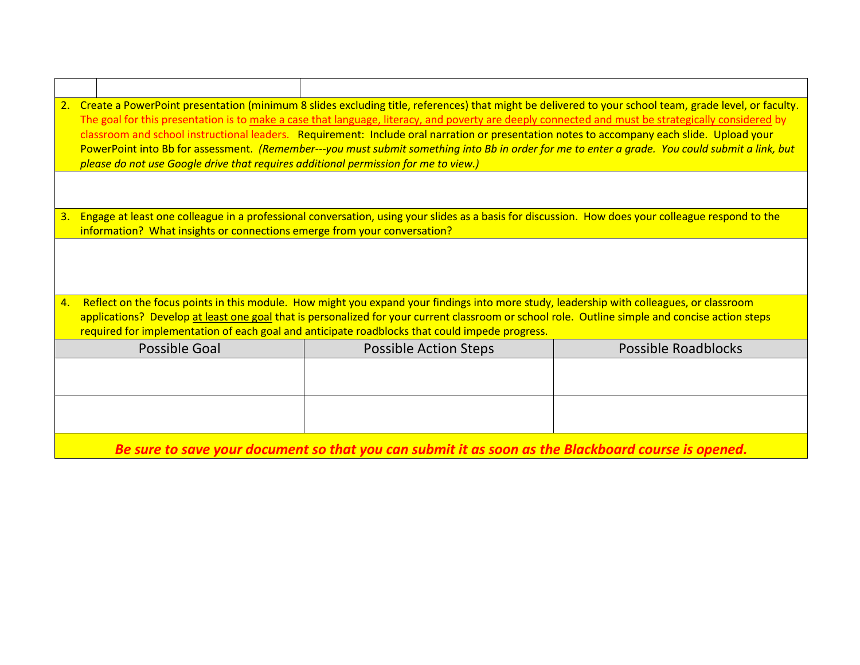| 2. | Create a PowerPoint presentation (minimum 8 slides excluding title, references) that might be delivered to your school team, grade level, or faculty.<br>The goal for this presentation is to make a case that language, literacy, and poverty are deeply connected and must be strategically considered by<br>classroom and school instructional leaders. Requirement: Include oral narration or presentation notes to accompany each slide. Upload your<br>PowerPoint into Bb for assessment. (Remember---you must submit something into Bb in order for me to enter a grade. You could submit a link, but<br>please do not use Google drive that requires additional permission for me to view.) |                                                                                                                                                   |                            |  |  |  |  |
|----|-----------------------------------------------------------------------------------------------------------------------------------------------------------------------------------------------------------------------------------------------------------------------------------------------------------------------------------------------------------------------------------------------------------------------------------------------------------------------------------------------------------------------------------------------------------------------------------------------------------------------------------------------------------------------------------------------------|---------------------------------------------------------------------------------------------------------------------------------------------------|----------------------------|--|--|--|--|
|    |                                                                                                                                                                                                                                                                                                                                                                                                                                                                                                                                                                                                                                                                                                     |                                                                                                                                                   |                            |  |  |  |  |
| 3. | information? What insights or connections emerge from your conversation?                                                                                                                                                                                                                                                                                                                                                                                                                                                                                                                                                                                                                            | Engage at least one colleague in a professional conversation, using your slides as a basis for discussion. How does your colleague respond to the |                            |  |  |  |  |
|    |                                                                                                                                                                                                                                                                                                                                                                                                                                                                                                                                                                                                                                                                                                     |                                                                                                                                                   |                            |  |  |  |  |
| 4. |                                                                                                                                                                                                                                                                                                                                                                                                                                                                                                                                                                                                                                                                                                     | Reflect on the focus points in this module. How might you expand your findings into more study, leadership with colleagues, or classroom          |                            |  |  |  |  |
|    |                                                                                                                                                                                                                                                                                                                                                                                                                                                                                                                                                                                                                                                                                                     | applications? Develop at least one goal that is personalized for your current classroom or school role. Outline simple and concise action steps   |                            |  |  |  |  |
|    |                                                                                                                                                                                                                                                                                                                                                                                                                                                                                                                                                                                                                                                                                                     | required for implementation of each goal and anticipate roadblocks that could impede progress.                                                    |                            |  |  |  |  |
|    | <b>Possible Goal</b>                                                                                                                                                                                                                                                                                                                                                                                                                                                                                                                                                                                                                                                                                | <b>Possible Action Steps</b>                                                                                                                      | <b>Possible Roadblocks</b> |  |  |  |  |
|    |                                                                                                                                                                                                                                                                                                                                                                                                                                                                                                                                                                                                                                                                                                     |                                                                                                                                                   |                            |  |  |  |  |
|    |                                                                                                                                                                                                                                                                                                                                                                                                                                                                                                                                                                                                                                                                                                     |                                                                                                                                                   |                            |  |  |  |  |
|    |                                                                                                                                                                                                                                                                                                                                                                                                                                                                                                                                                                                                                                                                                                     | Be sure to save your document so that you can submit it as soon as the Blackboard course is opened.                                               |                            |  |  |  |  |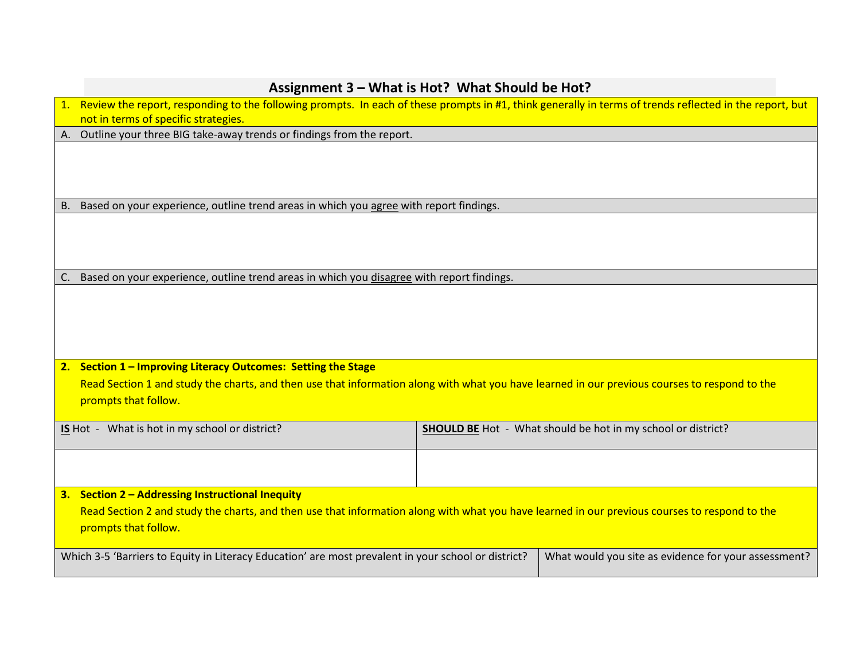|    | Assignment 3 - What is Hot? What Should be Hot?                                                                                                                       |  |  |  |  |
|----|-----------------------------------------------------------------------------------------------------------------------------------------------------------------------|--|--|--|--|
|    | 1. Review the report, responding to the following prompts. In each of these prompts in #1, think generally in terms of trends reflected in the report, but            |  |  |  |  |
|    | not in terms of specific strategies.                                                                                                                                  |  |  |  |  |
|    | A. Outline your three BIG take-away trends or findings from the report.                                                                                               |  |  |  |  |
|    |                                                                                                                                                                       |  |  |  |  |
|    | B. Based on your experience, outline trend areas in which you agree with report findings.                                                                             |  |  |  |  |
|    |                                                                                                                                                                       |  |  |  |  |
| C. | Based on your experience, outline trend areas in which you disagree with report findings.                                                                             |  |  |  |  |
|    |                                                                                                                                                                       |  |  |  |  |
|    | 2. Section 1 - Improving Literacy Outcomes: Setting the Stage                                                                                                         |  |  |  |  |
|    | Read Section 1 and study the charts, and then use that information along with what you have learned in our previous courses to respond to the<br>prompts that follow. |  |  |  |  |
|    | <b>SHOULD BE</b> Hot - What should be hot in my school or district?<br>IS Hot - What is hot in my school or district?                                                 |  |  |  |  |
|    |                                                                                                                                                                       |  |  |  |  |
|    | 3. Section 2 - Addressing Instructional Inequity                                                                                                                      |  |  |  |  |
|    | Read Section 2 and study the charts, and then use that information along with what you have learned in our previous courses to respond to the<br>prompts that follow. |  |  |  |  |
|    | Which 3-5 'Barriers to Equity in Literacy Education' are most prevalent in your school or district?<br>What would you site as evidence for your assessment?           |  |  |  |  |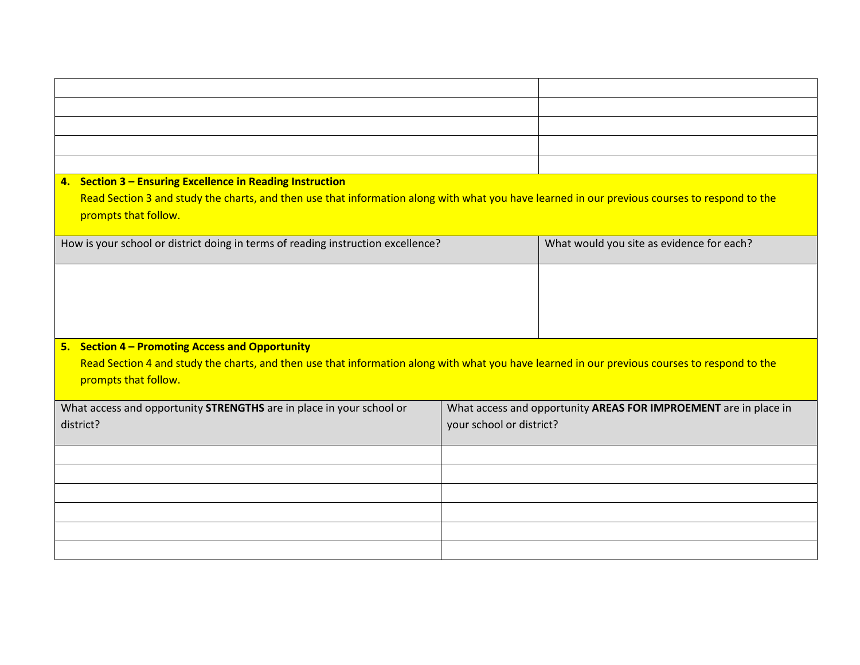| 4. Section 3 - Ensuring Excellence in Reading Instruction                                                                                     |                          |                                                                  |  |  |
|-----------------------------------------------------------------------------------------------------------------------------------------------|--------------------------|------------------------------------------------------------------|--|--|
| Read Section 3 and study the charts, and then use that information along with what you have learned in our previous courses to respond to the |                          |                                                                  |  |  |
| prompts that follow.                                                                                                                          |                          |                                                                  |  |  |
| How is your school or district doing in terms of reading instruction excellence?                                                              |                          | What would you site as evidence for each?                        |  |  |
|                                                                                                                                               |                          |                                                                  |  |  |
|                                                                                                                                               |                          |                                                                  |  |  |
|                                                                                                                                               |                          |                                                                  |  |  |
|                                                                                                                                               |                          |                                                                  |  |  |
|                                                                                                                                               |                          |                                                                  |  |  |
| 5. Section 4 - Promoting Access and Opportunity                                                                                               |                          |                                                                  |  |  |
| Read Section 4 and study the charts, and then use that information along with what you have learned in our previous courses to respond to the |                          |                                                                  |  |  |
| prompts that follow.                                                                                                                          |                          |                                                                  |  |  |
| What access and opportunity STRENGTHS are in place in your school or                                                                          |                          | What access and opportunity AREAS FOR IMPROEMENT are in place in |  |  |
| district?                                                                                                                                     | your school or district? |                                                                  |  |  |
|                                                                                                                                               |                          |                                                                  |  |  |
|                                                                                                                                               |                          |                                                                  |  |  |
|                                                                                                                                               |                          |                                                                  |  |  |
|                                                                                                                                               |                          |                                                                  |  |  |
|                                                                                                                                               |                          |                                                                  |  |  |
|                                                                                                                                               |                          |                                                                  |  |  |
|                                                                                                                                               |                          |                                                                  |  |  |
|                                                                                                                                               |                          |                                                                  |  |  |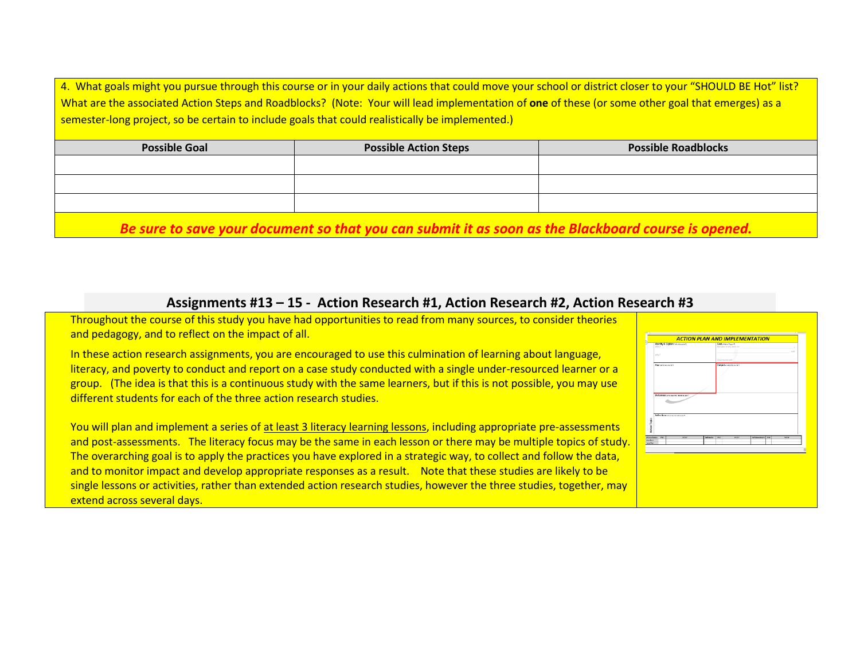4. What goals might you pursue through this course or in your daily actions that could move your school or district closer to your "SHOULD BE Hot" list? What are the associated Action Steps and Roadblocks? (Note: Your will lead implementation of **one** of these (or some other goal that emerges) as a semester-long project, so be certain to include goals that could realistically be implemented.)

| <b>Possible Goal</b> | <b>Possible Action Steps</b> | <b>Possible Roadblocks</b> |
|----------------------|------------------------------|----------------------------|
|                      |                              |                            |
|                      |                              |                            |
|                      |                              |                            |
|                      |                              |                            |

*Be sure to save your document so that you can submit it as soon as the Blackboard course is opened.*

### **Assignments #13 – 15 - Action Research #1, Action Research #2, Action Research #3**

Throughout the course of this study you have had opportunities to read from many sources, to consider theories and pedagogy, and to reflect on the impact of all.

In these action research assignments, you are encouraged to use this culmination of learning about language, literacy, and poverty to conduct and report on a case study conducted with a single under-resourced learner or a group. (The idea is that this is a continuous study with the same learners, but if this is not possible, you may use different students for each of the three action research studies.

You will plan and implement a series of at least 3 literacy learning lessons, including appropriate pre-assessments and post-assessments. The literacy focus may be the same in each lesson or there may be multiple topics of study. The overarching goal is to apply the practices you have explored in a strategic way, to collect and follow the data, and to monitor impact and develop appropriate responses as a result. Note that these studies are likely to be single lessons or activities, rather than extended action research studies, however the three studies, together, may extend across several days.

|                                                       |              |                 | <b>ACTION PLAN AND IMPLEMENTATION</b>        |                         |      |      |
|-------------------------------------------------------|--------------|-----------------|----------------------------------------------|-------------------------|------|------|
| identity & Explain one-mounts<br>Witn?                |              |                 | Goal connections to<br>Decause of my work on |                         |      |      |
|                                                       |              |                 | n.                                           |                         |      | u.tt |
| why?                                                  |              |                 |                                              |                         |      |      |
|                                                       |              |                 | How measured?                                |                         |      |      |
| Plan sear edys art                                    |              |                 | Outputs recovered                            |                         |      |      |
|                                                       |              |                 |                                              |                         |      |      |
| Reflections pour a ya kirkery?                        |              |                 |                                              |                         |      |      |
| <b>WALL</b>                                           | <b>PLIST</b> | <b>Behevine</b> | <b>Bar</b><br><b>PLIST</b>                   | <b>Zehleswaren 2015</b> | POST |      |
|                                                       |              |                 |                                              |                         |      |      |
| <b>Attendance</b><br><b>Stocked</b><br><b>TechNet</b> |              |                 |                                              |                         |      | 阪    |
|                                                       |              |                 |                                              |                         |      |      |
|                                                       |              |                 |                                              |                         |      |      |
|                                                       |              |                 |                                              |                         |      |      |
|                                                       |              |                 |                                              |                         |      |      |
|                                                       |              |                 |                                              |                         |      |      |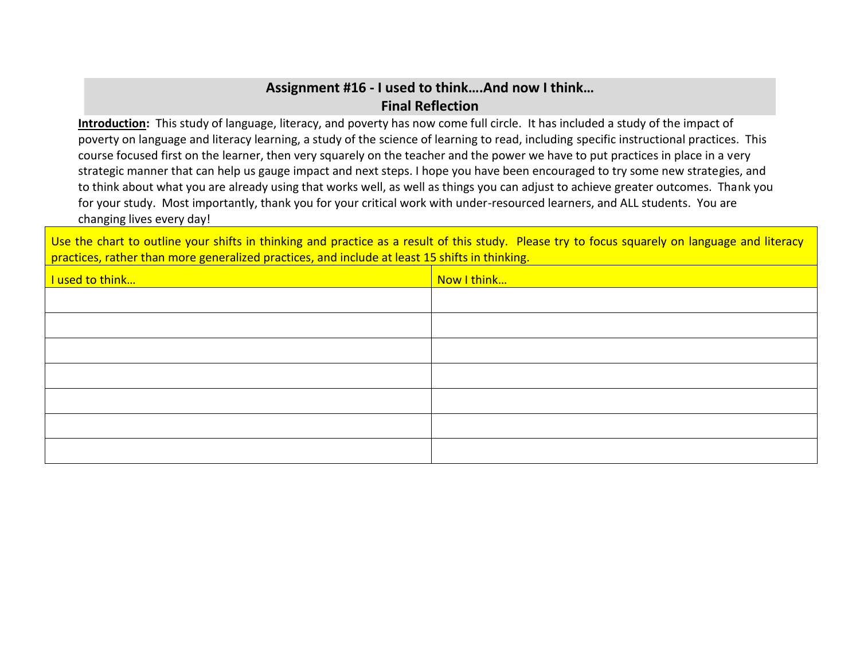### **Assignment #16 - I used to think….And now I think… Final Reflection**

**Introduction:** This study of language, literacy, and poverty has now come full circle. It has included a study of the impact of poverty on language and literacy learning, a study of the science of learning to read, including specific instructional practices. This course focused first on the learner, then very squarely on the teacher and the power we have to put practices in place in a very strategic manner that can help us gauge impact and next steps. I hope you have been encouraged to try some new strategies, and to think about what you are already using that works well, as well as things you can adjust to achieve greater outcomes. Thank you for your study. Most importantly, thank you for your critical work with under-resourced learners, and ALL students. You are changing lives every day!

Use the chart to outline your shifts in thinking and practice as a result of this study. Please try to focus squarely on language and literacy practices, rather than more generalized practices, and include at least 15 shifts in thinking.

| I used to think | Now I think |
|-----------------|-------------|
|                 |             |
|                 |             |
|                 |             |
|                 |             |
|                 |             |
|                 |             |
|                 |             |